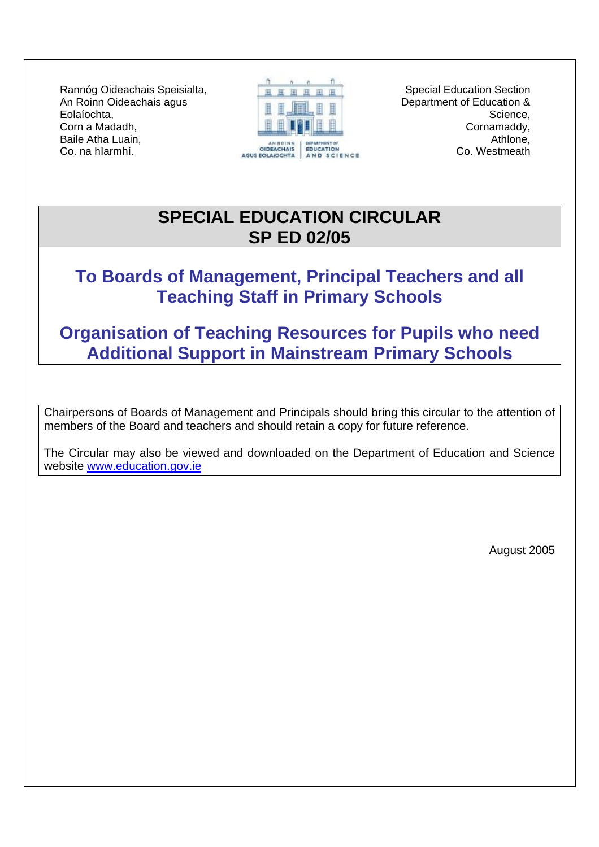Rannóg Oideachais Speisialta, An Roinn Oideachais agus Eolaíochta, Corn a Madadh, Baile Atha Luain, Co. na hIarmhí.



Special Education Section Department of Education & Science, Cornamaddy, Athlone, Co. Westmeath

# **SPECIAL EDUCATION CIRCULAR SP ED 02/05**

# **To Boards of Management, Principal Teachers and all Teaching Staff in Primary Schools**

**Organisation of Teaching Resources for Pupils who need Additional Support in Mainstream Primary Schools** 

Chairpersons of Boards of Management and Principals should bring this circular to the attention of members of the Board and teachers and should retain a copy for future reference.

The Circular may also be viewed and downloaded on the Department of Education and Science website www.education.gov.ie

August 2005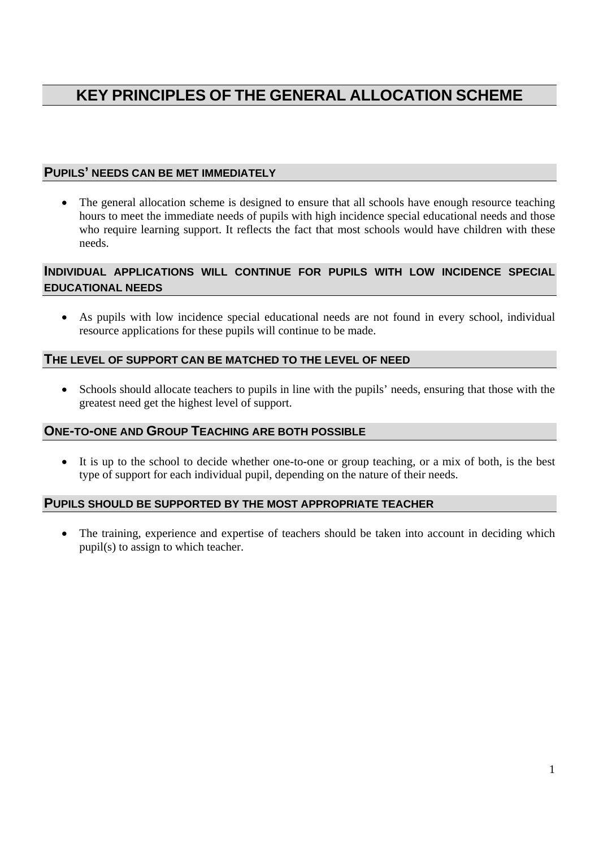# **KEY PRINCIPLES OF THE GENERAL ALLOCATION SCHEME**

# **PUPILS' NEEDS CAN BE MET IMMEDIATELY**

• The general allocation scheme is designed to ensure that all schools have enough resource teaching hours to meet the immediate needs of pupils with high incidence special educational needs and those who require learning support. It reflects the fact that most schools would have children with these needs.

# **INDIVIDUAL APPLICATIONS WILL CONTINUE FOR PUPILS WITH LOW INCIDENCE SPECIAL EDUCATIONAL NEEDS**

• As pupils with low incidence special educational needs are not found in every school, individual resource applications for these pupils will continue to be made.

### **THE LEVEL OF SUPPORT CAN BE MATCHED TO THE LEVEL OF NEED**

• Schools should allocate teachers to pupils in line with the pupils' needs, ensuring that those with the greatest need get the highest level of support.

#### **ONE-TO-ONE AND GROUP TEACHING ARE BOTH POSSIBLE**

• It is up to the school to decide whether one-to-one or group teaching, or a mix of both, is the best type of support for each individual pupil, depending on the nature of their needs.

#### **PUPILS SHOULD BE SUPPORTED BY THE MOST APPROPRIATE TEACHER**

• The training, experience and expertise of teachers should be taken into account in deciding which pupil(s) to assign to which teacher.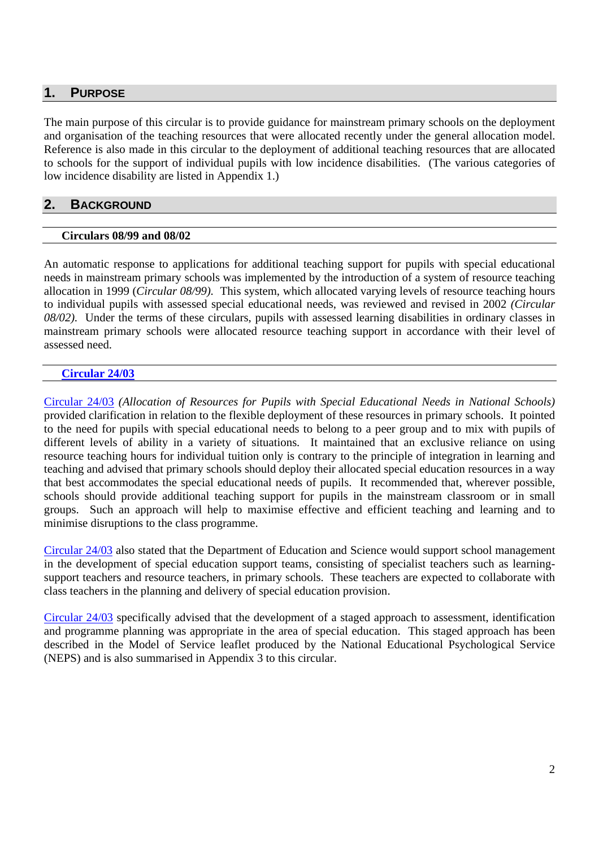# **1. PURPOSE**

The main purpose of this circular is to provide guidance for mainstream primary schools on the deployment and organisation of the teaching resources that were allocated recently under the general allocation model. Reference is also made in this circular to the deployment of additional teaching resources that are allocated to schools for the support of individual pupils with low incidence disabilities. (The various categories of low incidence disability are listed in Appendix 1.)

# **2. BACKGROUND**

### **Circulars 08/99 and 08/02**

An automatic response to applications for additional teaching support for pupils with special educational needs in mainstream primary schools was implemented by the introduction of a system of resource teaching allocation in 1999 (*Circular 08/99).* This system, which allocated varying levels of resource teaching hours to individual pupils with assessed special educational needs, was reviewed and revised in 2002 *(Circular 08/02).* Under the terms of these circulars, pupils with assessed learning disabilities in ordinary classes in mainstream primary schools were allocated resource teaching support in accordance with their level of assessed need.

### **Circular 24/03**

Circular 24/03 *(Allocation of Resources for Pupils with Special Educational Needs in National Schools)* provided clarification in relation to the flexible deployment of these resources in primary schools. It pointed to the need for pupils with special educational needs to belong to a peer group and to mix with pupils of different levels of ability in a variety of situations. It maintained that an exclusive reliance on using resource teaching hours for individual tuition only is contrary to the principle of integration in learning and teaching and advised that primary schools should deploy their allocated special education resources in a way that best accommodates the special educational needs of pupils. It recommended that, wherever possible, schools should provide additional teaching support for pupils in the mainstream classroom or in small groups. Such an approach will help to maximise effective and efficient teaching and learning and to minimise disruptions to the class programme.

Circular 24/03 also stated that the Department of Education and Science would support school management in the development of special education support teams, consisting of specialist teachers such as learningsupport teachers and resource teachers, in primary schools. These teachers are expected to collaborate with class teachers in the planning and delivery of special education provision.

Circular 24/03 specifically advised that the development of a staged approach to assessment, identification and programme planning was appropriate in the area of special education. This staged approach has been described in the Model of Service leaflet produced by the National Educational Psychological Service (NEPS) and is also summarised in Appendix 3 to this circular.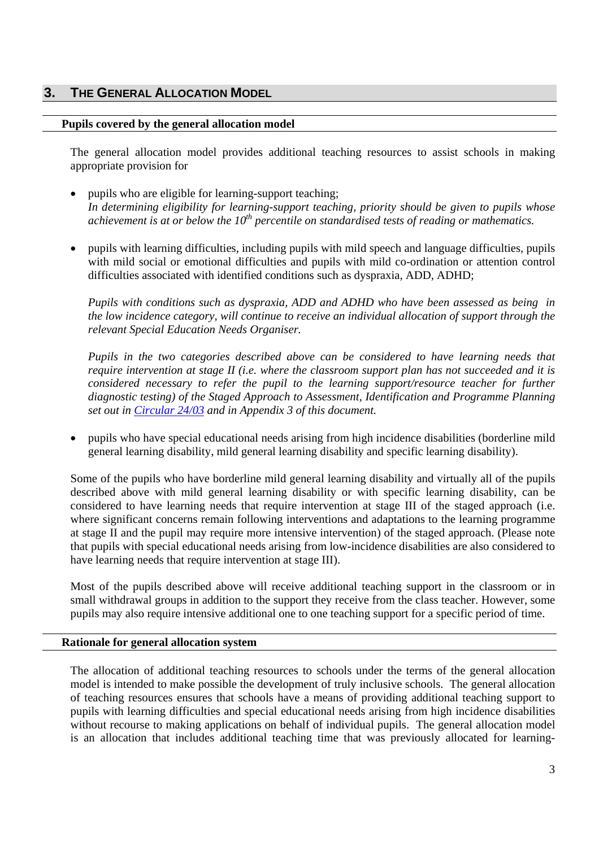# **3. THE GENERAL ALLOCATION MODEL**

#### **Pupils covered by the general allocation model**

The general allocation model provides additional teaching resources to assist schools in making appropriate provision for

- pupils who are eligible for learning-support teaching; *In determining eligibility for learning-support teaching, priority should be given to pupils whose*  achievement is at or below the 10<sup>th</sup> percentile on standardised tests of reading or mathematics.
- pupils with learning difficulties, including pupils with mild speech and language difficulties, pupils with mild social or emotional difficulties and pupils with mild co-ordination or attention control difficulties associated with identified conditions such as dyspraxia, ADD, ADHD;

*Pupils with conditions such as dyspraxia, ADD and ADHD who have been assessed as being in the low incidence category, will continue to receive an individual allocation of support through the relevant Special Education Needs Organiser.* 

*Pupils in the two categories described above can be considered to have learning needs that require intervention at stage II (i.e. where the classroom support plan has not succeeded and it is considered necessary to refer the pupil to the learning support/resource teacher for further diagnostic testing) of the Staged Approach to Assessment, Identification and Programme Planning set out in Circular 24/03 and in Appendix 3 of this document.* 

• pupils who have special educational needs arising from high incidence disabilities (borderline mild general learning disability, mild general learning disability and specific learning disability).

Some of the pupils who have borderline mild general learning disability and virtually all of the pupils described above with mild general learning disability or with specific learning disability, can be considered to have learning needs that require intervention at stage III of the staged approach (i.e. where significant concerns remain following interventions and adaptations to the learning programme at stage II and the pupil may require more intensive intervention) of the staged approach. (Please note that pupils with special educational needs arising from low-incidence disabilities are also considered to have learning needs that require intervention at stage III).

Most of the pupils described above will receive additional teaching support in the classroom or in small withdrawal groups in addition to the support they receive from the class teacher. However, some pupils may also require intensive additional one to one teaching support for a specific period of time.

#### **Rationale for general allocation system**

The allocation of additional teaching resources to schools under the terms of the general allocation model is intended to make possible the development of truly inclusive schools. The general allocation of teaching resources ensures that schools have a means of providing additional teaching support to pupils with learning difficulties and special educational needs arising from high incidence disabilities without recourse to making applications on behalf of individual pupils. The general allocation model is an allocation that includes additional teaching time that was previously allocated for learning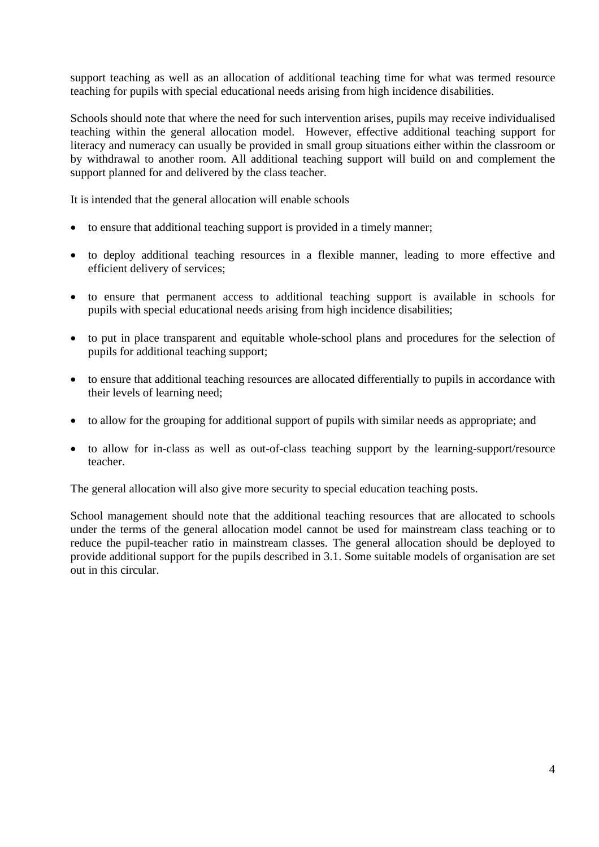support teaching as well as an allocation of additional teaching time for what was termed resource teaching for pupils with special educational needs arising from high incidence disabilities.

Schools should note that where the need for such intervention arises, pupils may receive individualised teaching within the general allocation model. However, effective additional teaching support for literacy and numeracy can usually be provided in small group situations either within the classroom or by withdrawal to another room. All additional teaching support will build on and complement the support planned for and delivered by the class teacher.

It is intended that the general allocation will enable schools

- to ensure that additional teaching support is provided in a timely manner;
- to deploy additional teaching resources in a flexible manner, leading to more effective and efficient delivery of services;
- to ensure that permanent access to additional teaching support is available in schools for pupils with special educational needs arising from high incidence disabilities;
- to put in place transparent and equitable whole-school plans and procedures for the selection of pupils for additional teaching support;
- to ensure that additional teaching resources are allocated differentially to pupils in accordance with their levels of learning need;
- to allow for the grouping for additional support of pupils with similar needs as appropriate; and
- to allow for in-class as well as out-of-class teaching support by the learning-support/resource teacher.

The general allocation will also give more security to special education teaching posts.

School management should note that the additional teaching resources that are allocated to schools under the terms of the general allocation model cannot be used for mainstream class teaching or to reduce the pupil-teacher ratio in mainstream classes. The general allocation should be deployed to provide additional support for the pupils described in 3.1. Some suitable models of organisation are set out in this circular.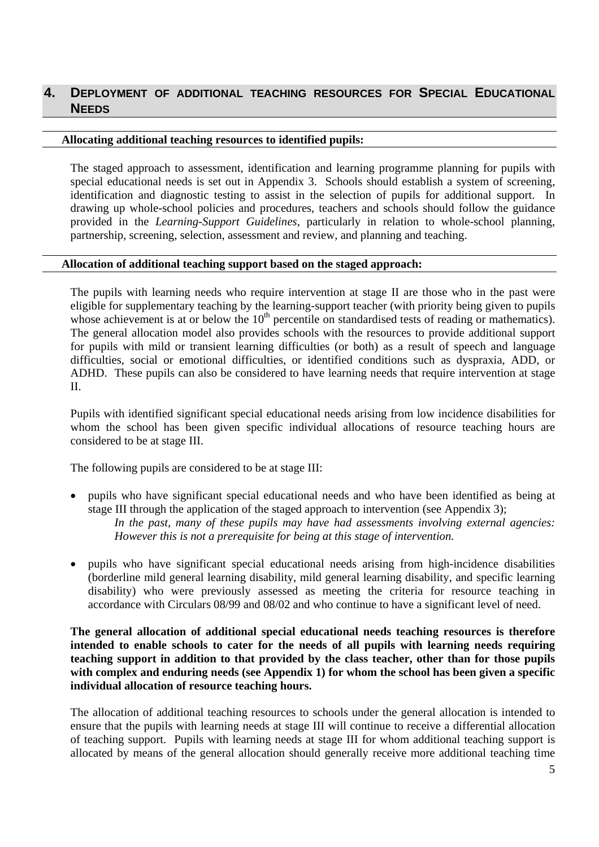# **4. DEPLOYMENT OF ADDITIONAL TEACHING RESOURCES FOR SPECIAL EDUCATIONAL NEEDS**

#### **Allocating additional teaching resources to identified pupils:**

The staged approach to assessment, identification and learning programme planning for pupils with special educational needs is set out in Appendix 3. Schools should establish a system of screening, identification and diagnostic testing to assist in the selection of pupils for additional support. In drawing up whole-school policies and procedures, teachers and schools should follow the guidance provided in the *Learning-Support Guidelines*, particularly in relation to whole-school planning, partnership, screening, selection, assessment and review, and planning and teaching.

# **Allocation of additional teaching support based on the staged approach:**

The pupils with learning needs who require intervention at stage II are those who in the past were eligible for supplementary teaching by the learning-support teacher (with priority being given to pupils whose achievement is at or below the  $10<sup>th</sup>$  percentile on standardised tests of reading or mathematics). The general allocation model also provides schools with the resources to provide additional support for pupils with mild or transient learning difficulties (or both) as a result of speech and language difficulties, social or emotional difficulties, or identified conditions such as dyspraxia, ADD, or ADHD. These pupils can also be considered to have learning needs that require intervention at stage II.

Pupils with identified significant special educational needs arising from low incidence disabilities for whom the school has been given specific individual allocations of resource teaching hours are considered to be at stage III.

The following pupils are considered to be at stage III:

- pupils who have significant special educational needs and who have been identified as being at stage III through the application of the staged approach to intervention (see Appendix 3); *In the past, many of these pupils may have had assessments involving external agencies: However this is not a prerequisite for being at this stage of intervention.*
- pupils who have significant special educational needs arising from high-incidence disabilities (borderline mild general learning disability, mild general learning disability, and specific learning disability) who were previously assessed as meeting the criteria for resource teaching in accordance with Circulars 08/99 and 08/02 and who continue to have a significant level of need.

**The general allocation of additional special educational needs teaching resources is therefore intended to enable schools to cater for the needs of all pupils with learning needs requiring teaching support in addition to that provided by the class teacher, other than for those pupils with complex and enduring needs (see Appendix 1) for whom the school has been given a specific individual allocation of resource teaching hours.** 

The allocation of additional teaching resources to schools under the general allocation is intended to ensure that the pupils with learning needs at stage III will continue to receive a differential allocation of teaching support. Pupils with learning needs at stage III for whom additional teaching support is allocated by means of the general allocation should generally receive more additional teaching time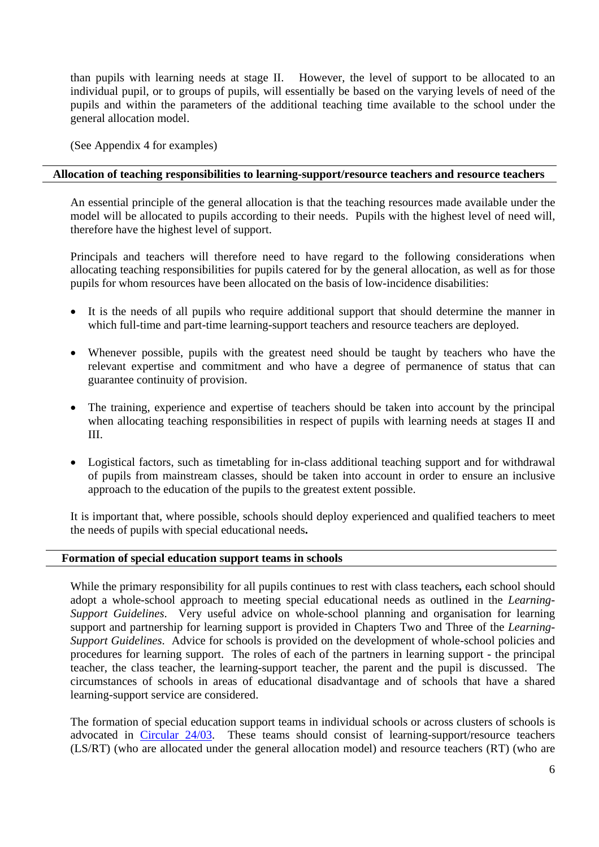than pupils with learning needs at stage II. However, the level of support to be allocated to an individual pupil, or to groups of pupils, will essentially be based on the varying levels of need of the pupils and within the parameters of the additional teaching time available to the school under the general allocation model.

(See Appendix 4 for examples)

#### **Allocation of teaching responsibilities to learning-support/resource teachers and resource teachers**

An essential principle of the general allocation is that the teaching resources made available under the model will be allocated to pupils according to their needs. Pupils with the highest level of need will, therefore have the highest level of support.

Principals and teachers will therefore need to have regard to the following considerations when allocating teaching responsibilities for pupils catered for by the general allocation, as well as for those pupils for whom resources have been allocated on the basis of low-incidence disabilities:

- It is the needs of all pupils who require additional support that should determine the manner in which full-time and part-time learning-support teachers and resource teachers are deployed.
- Whenever possible, pupils with the greatest need should be taught by teachers who have the relevant expertise and commitment and who have a degree of permanence of status that can guarantee continuity of provision.
- The training, experience and expertise of teachers should be taken into account by the principal when allocating teaching responsibilities in respect of pupils with learning needs at stages II and III.
- Logistical factors, such as timetabling for in-class additional teaching support and for withdrawal of pupils from mainstream classes, should be taken into account in order to ensure an inclusive approach to the education of the pupils to the greatest extent possible.

It is important that, where possible, schools should deploy experienced and qualified teachers to meet the needs of pupils with special educational needs**.** 

#### **Formation of special education support teams in schools**

While the primary responsibility for all pupils continues to rest with class teachers*,* each school should adopt a whole-school approach to meeting special educational needs as outlined in the *Learning-Support Guidelines*. Very useful advice on whole-school planning and organisation for learning support and partnership for learning support is provided in Chapters Two and Three of the *Learning-Support Guidelines*. Advice for schools is provided on the development of whole-school policies and procedures for learning support. The roles of each of the partners in learning support - the principal teacher, the class teacher, the learning-support teacher, the parent and the pupil is discussed. The circumstances of schools in areas of educational disadvantage and of schools that have a shared learning-support service are considered.

The formation of special education support teams in individual schools or across clusters of schools is advocated in Circular 24/03. These teams should consist of learning-support/resource teachers (LS/RT) (who are allocated under the general allocation model) and resource teachers (RT) (who are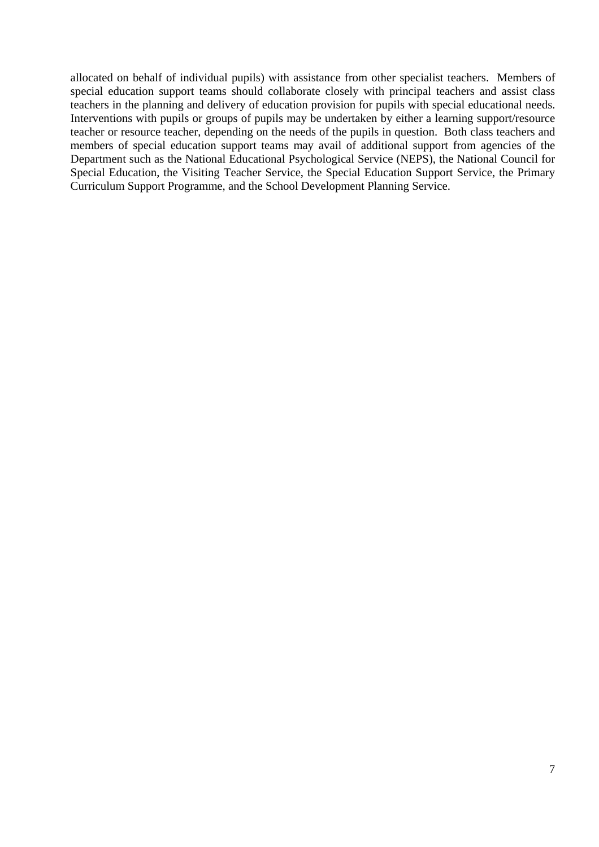allocated on behalf of individual pupils) with assistance from other specialist teachers. Members of special education support teams should collaborate closely with principal teachers and assist class teachers in the planning and delivery of education provision for pupils with special educational needs. Interventions with pupils or groups of pupils may be undertaken by either a learning support/resource teacher or resource teacher, depending on the needs of the pupils in question. Both class teachers and members of special education support teams may avail of additional support from agencies of the Department such as the National Educational Psychological Service (NEPS), the National Council for Special Education, the Visiting Teacher Service, the Special Education Support Service, the Primary Curriculum Support Programme, and the School Development Planning Service.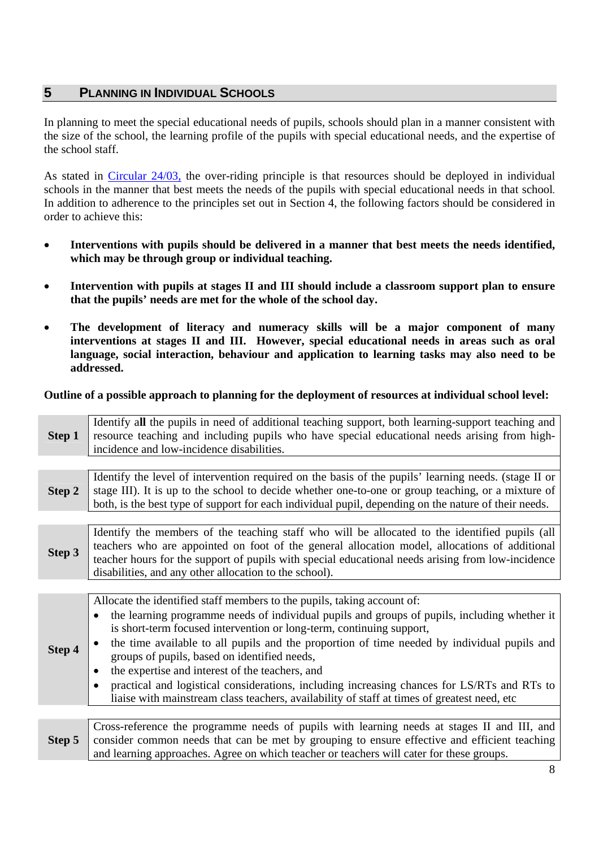# **5 PLANNING IN INDIVIDUAL SCHOOLS**

In planning to meet the special educational needs of pupils, schools should plan in a manner consistent with the size of the school, the learning profile of the pupils with special educational needs, and the expertise of the school staff.

As stated in Circular 24/03, the over-riding principle is that resources should be deployed in individual schools in the manner that best meets the needs of the pupils with special educational needs in that school*.*  In addition to adherence to the principles set out in Section 4, the following factors should be considered in order to achieve this:

- **Interventions with pupils should be delivered in a manner that best meets the needs identified, which may be through group or individual teaching.**
- **Intervention with pupils at stages II and III should include a classroom support plan to ensure that the pupils' needs are met for the whole of the school day.**
- **The development of literacy and numeracy skills will be a major component of many interventions at stages II and III. However, special educational needs in areas such as oral language, social interaction, behaviour and application to learning tasks may also need to be addressed.**

### **Outline of a possible approach to planning for the deployment of resources at individual school level:**

| Step 1 | Identify all the pupils in need of additional teaching support, both learning-support teaching and<br>resource teaching and including pupils who have special educational needs arising from high-<br>incidence and low-incidence disabilities.                                                                                                                                                                                                                                                                                                                                                                                                              |
|--------|--------------------------------------------------------------------------------------------------------------------------------------------------------------------------------------------------------------------------------------------------------------------------------------------------------------------------------------------------------------------------------------------------------------------------------------------------------------------------------------------------------------------------------------------------------------------------------------------------------------------------------------------------------------|
|        |                                                                                                                                                                                                                                                                                                                                                                                                                                                                                                                                                                                                                                                              |
| Step 2 | Identify the level of intervention required on the basis of the pupils' learning needs. (stage II or<br>stage III). It is up to the school to decide whether one-to-one or group teaching, or a mixture of<br>both, is the best type of support for each individual pupil, depending on the nature of their needs.                                                                                                                                                                                                                                                                                                                                           |
|        |                                                                                                                                                                                                                                                                                                                                                                                                                                                                                                                                                                                                                                                              |
| Step 3 | Identify the members of the teaching staff who will be allocated to the identified pupils (all<br>teachers who are appointed on foot of the general allocation model, allocations of additional<br>teacher hours for the support of pupils with special educational needs arising from low-incidence<br>disabilities, and any other allocation to the school).                                                                                                                                                                                                                                                                                               |
|        |                                                                                                                                                                                                                                                                                                                                                                                                                                                                                                                                                                                                                                                              |
| Step 4 | Allocate the identified staff members to the pupils, taking account of:<br>the learning programme needs of individual pupils and groups of pupils, including whether it<br>is short-term focused intervention or long-term, continuing support,<br>the time available to all pupils and the proportion of time needed by individual pupils and<br>groups of pupils, based on identified needs,<br>the expertise and interest of the teachers, and<br>$\bullet$<br>practical and logistical considerations, including increasing chances for LS/RTs and RTs to<br>liaise with mainstream class teachers, availability of staff at times of greatest need, etc |
|        |                                                                                                                                                                                                                                                                                                                                                                                                                                                                                                                                                                                                                                                              |
| Step 5 | Cross-reference the programme needs of pupils with learning needs at stages II and III, and<br>consider common needs that can be met by grouping to ensure effective and efficient teaching<br>and learning approaches. Agree on which teacher or teachers will cater for these groups.                                                                                                                                                                                                                                                                                                                                                                      |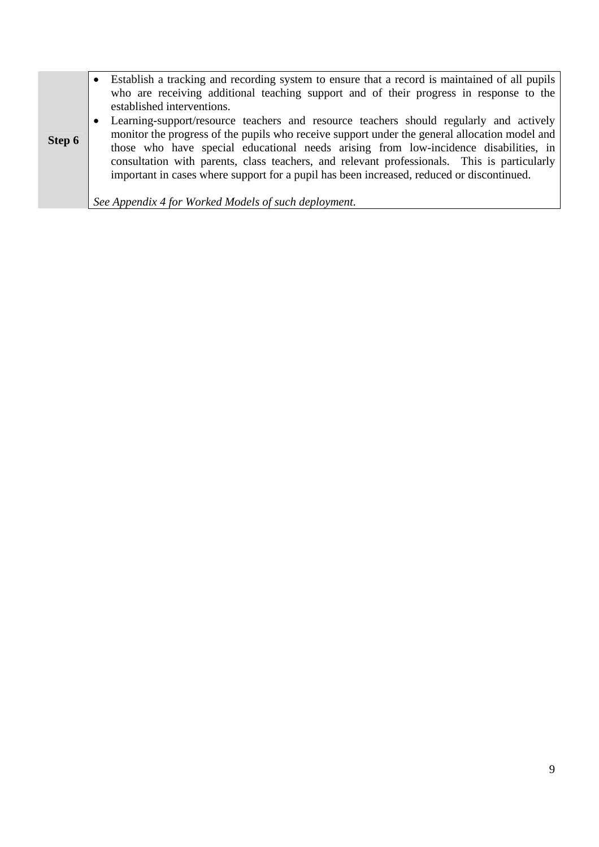|  | Establish a tracking and recording system to ensure that a record is maintained of all pupils |  |  |  |  |  |  |  |
|--|-----------------------------------------------------------------------------------------------|--|--|--|--|--|--|--|
|  | who are receiving additional teaching support and of their progress in response to the        |  |  |  |  |  |  |  |
|  | established interventions.                                                                    |  |  |  |  |  |  |  |
|  | Learning-support/resource teachers and resource teachers should regularly and actively        |  |  |  |  |  |  |  |

**Step 6**  monitor the progress of the pupils who receive support under the general allocation model and those who have special educational needs arising from low-incidence disabilities, in consultation with parents, class teachers, and relevant professionals. This is particularly important in cases where support for a pupil has been increased, reduced or discontinued.

*See Appendix 4 for Worked Models of such deployment.*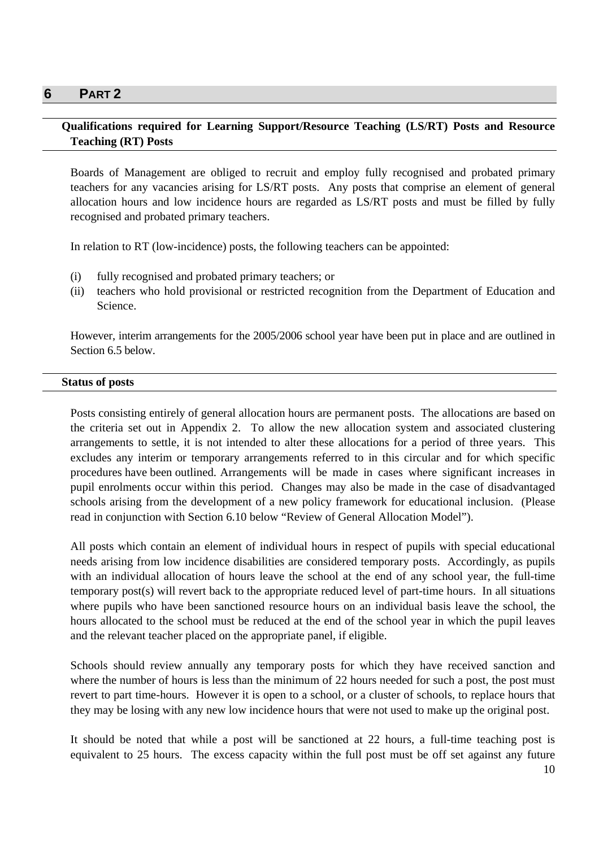### **6 PART 2**

# **Qualifications required for Learning Support/Resource Teaching (LS/RT) Posts and Resource Teaching (RT) Posts**

 Boards of Management are obliged to recruit and employ fully recognised and probated primary teachers for any vacancies arising for LS/RT posts. Any posts that comprise an element of general allocation hours and low incidence hours are regarded as LS/RT posts and must be filled by fully recognised and probated primary teachers.

In relation to RT (low-incidence) posts, the following teachers can be appointed:

- (i) fully recognised and probated primary teachers; or
- (ii) teachers who hold provisional or restricted recognition from the Department of Education and Science.

 However, interim arrangements for the 2005/2006 school year have been put in place and are outlined in Section 6.5 below.

#### **Status of posts**

Posts consisting entirely of general allocation hours are permanent posts. The allocations are based on the criteria set out in Appendix 2. To allow the new allocation system and associated clustering arrangements to settle, it is not intended to alter these allocations for a period of three years. This excludes any interim or temporary arrangements referred to in this circular and for which specific procedures have been outlined. Arrangements will be made in cases where significant increases in pupil enrolments occur within this period. Changes may also be made in the case of disadvantaged schools arising from the development of a new policy framework for educational inclusion. (Please read in conjunction with Section 6.10 below "Review of General Allocation Model").

All posts which contain an element of individual hours in respect of pupils with special educational needs arising from low incidence disabilities are considered temporary posts. Accordingly, as pupils with an individual allocation of hours leave the school at the end of any school year, the full-time temporary post(s) will revert back to the appropriate reduced level of part-time hours. In all situations where pupils who have been sanctioned resource hours on an individual basis leave the school, the hours allocated to the school must be reduced at the end of the school year in which the pupil leaves and the relevant teacher placed on the appropriate panel, if eligible.

 Schools should review annually any temporary posts for which they have received sanction and where the number of hours is less than the minimum of 22 hours needed for such a post, the post must revert to part time-hours. However it is open to a school, or a cluster of schools, to replace hours that they may be losing with any new low incidence hours that were not used to make up the original post.

 It should be noted that while a post will be sanctioned at 22 hours, a full-time teaching post is equivalent to 25 hours. The excess capacity within the full post must be off set against any future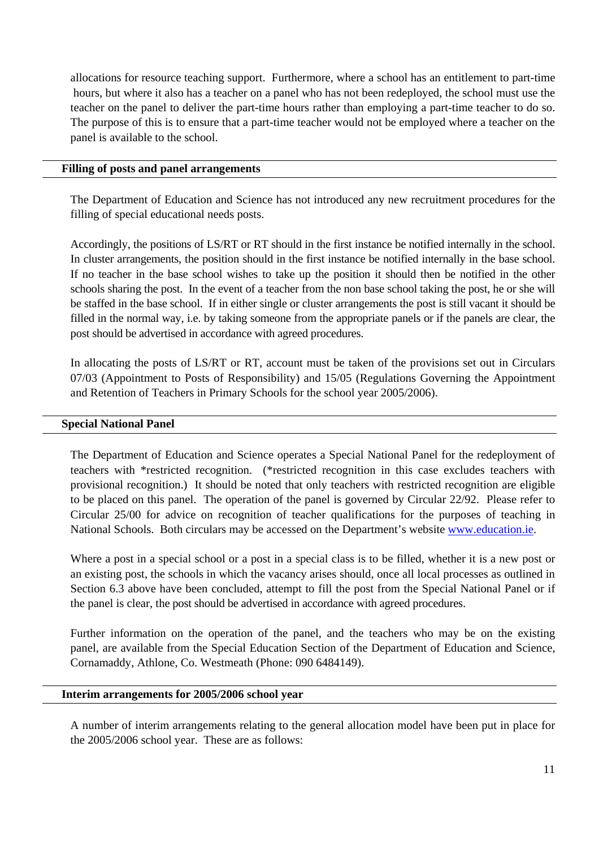allocations for resource teaching support. Furthermore, where a school has an entitlement to part-time hours, but where it also has a teacher on a panel who has not been redeployed, the school must use the teacher on the panel to deliver the part-time hours rather than employing a part-time teacher to do so. The purpose of this is to ensure that a part-time teacher would not be employed where a teacher on the panel is available to the school.

#### **Filling of posts and panel arrangements**

 The Department of Education and Science has not introduced any new recruitment procedures for the filling of special educational needs posts.

Accordingly, the positions of LS/RT or RT should in the first instance be notified internally in the school. In cluster arrangements, the position should in the first instance be notified internally in the base school. If no teacher in the base school wishes to take up the position it should then be notified in the other schools sharing the post. In the event of a teacher from the non base school taking the post, he or she will be staffed in the base school. If in either single or cluster arrangements the post is still vacant it should be filled in the normal way, i.e. by taking someone from the appropriate panels or if the panels are clear, the post should be advertised in accordance with agreed procedures.

 In allocating the posts of LS/RT or RT, account must be taken of the provisions set out in Circulars 07/03 (Appointment to Posts of Responsibility) and 15/05 (Regulations Governing the Appointment and Retention of Teachers in Primary Schools for the school year 2005/2006).

#### **Special National Panel**

The Department of Education and Science operates a Special National Panel for the redeployment of teachers with \*restricted recognition. (\*restricted recognition in this case excludes teachers with provisional recognition.) It should be noted that only teachers with restricted recognition are eligible to be placed on this panel. The operation of the panel is governed by Circular 22/92. Please refer to Circular 25/00 for advice on recognition of teacher qualifications for the purposes of teaching in National Schools. Both circulars may be accessed on the Department's website www.education.ie.

Where a post in a special school or a post in a special class is to be filled, whether it is a new post or an existing post, the schools in which the vacancy arises should, once all local processes as outlined in Section 6.3 above have been concluded, attempt to fill the post from the Special National Panel or if the panel is clear, the post should be advertised in accordance with agreed procedures.

 Further information on the operation of the panel, and the teachers who may be on the existing panel, are available from the Special Education Section of the Department of Education and Science, Cornamaddy, Athlone, Co. Westmeath (Phone: 090 6484149).

#### **Interim arrangements for 2005/2006 school year**

A number of interim arrangements relating to the general allocation model have been put in place for the 2005/2006 school year. These are as follows: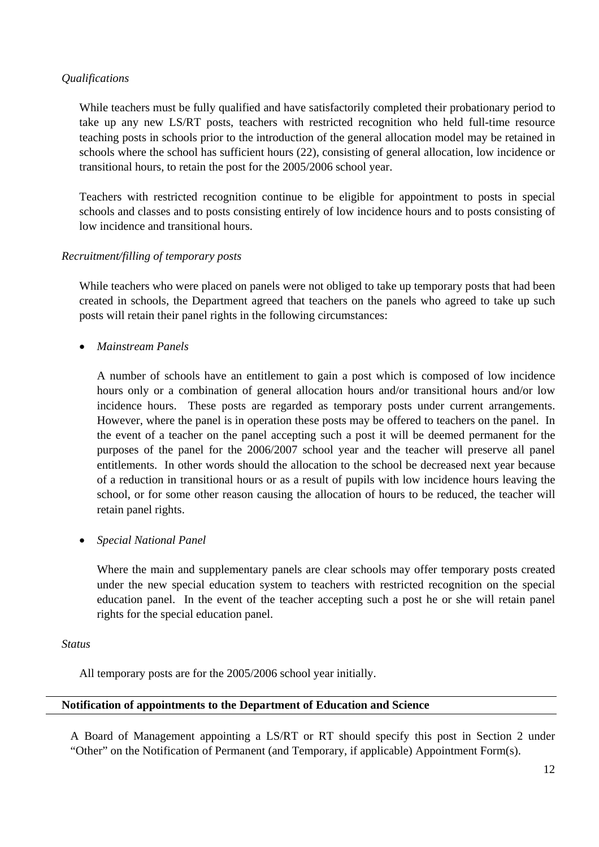### *Qualifications*

While teachers must be fully qualified and have satisfactorily completed their probationary period to take up any new LS/RT posts, teachers with restricted recognition who held full-time resource teaching posts in schools prior to the introduction of the general allocation model may be retained in schools where the school has sufficient hours (22), consisting of general allocation, low incidence or transitional hours, to retain the post for the 2005/2006 school year.

Teachers with restricted recognition continue to be eligible for appointment to posts in special schools and classes and to posts consisting entirely of low incidence hours and to posts consisting of low incidence and transitional hours.

### *Recruitment/filling of temporary posts*

While teachers who were placed on panels were not obliged to take up temporary posts that had been created in schools, the Department agreed that teachers on the panels who agreed to take up such posts will retain their panel rights in the following circumstances:

• *Mainstream Panels*

A number of schools have an entitlement to gain a post which is composed of low incidence hours only or a combination of general allocation hours and/or transitional hours and/or low incidence hours. These posts are regarded as temporary posts under current arrangements. However, where the panel is in operation these posts may be offered to teachers on the panel. In the event of a teacher on the panel accepting such a post it will be deemed permanent for the purposes of the panel for the 2006/2007 school year and the teacher will preserve all panel entitlements. In other words should the allocation to the school be decreased next year because of a reduction in transitional hours or as a result of pupils with low incidence hours leaving the school, or for some other reason causing the allocation of hours to be reduced, the teacher will retain panel rights.

## • *Special National Panel*

Where the main and supplementary panels are clear schools may offer temporary posts created under the new special education system to teachers with restricted recognition on the special education panel. In the event of the teacher accepting such a post he or she will retain panel rights for the special education panel.

#### *Status*

All temporary posts are for the 2005/2006 school year initially.

#### **Notification of appointments to the Department of Education and Science**

 A Board of Management appointing a LS/RT or RT should specify this post in Section 2 under "Other" on the Notification of Permanent (and Temporary, if applicable) Appointment Form(s).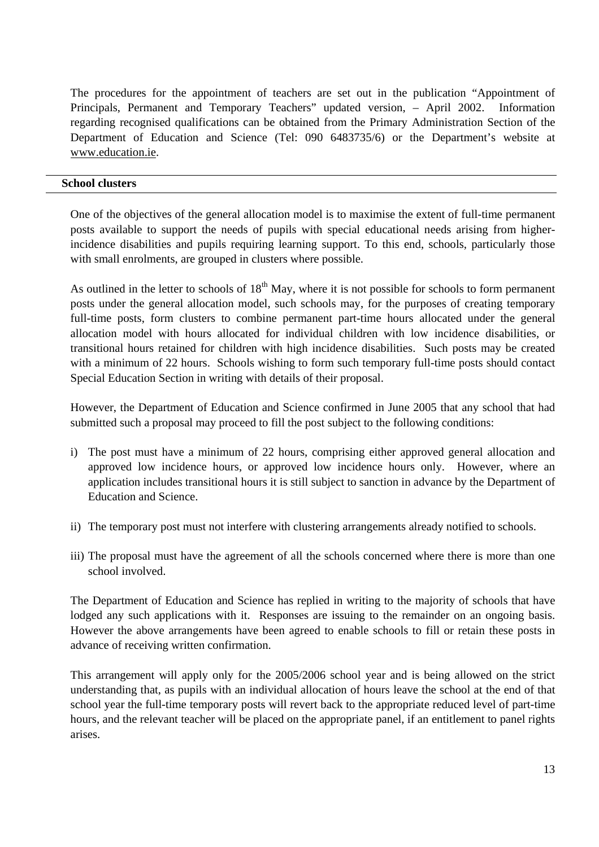The procedures for the appointment of teachers are set out in the publication "Appointment of Principals, Permanent and Temporary Teachers" updated version, – April 2002. Information regarding recognised qualifications can be obtained from the Primary Administration Section of the Department of Education and Science (Tel: 090 6483735/6) or the Department's website at www.education.ie.

#### **School clusters**

One of the objectives of the general allocation model is to maximise the extent of full-time permanent posts available to support the needs of pupils with special educational needs arising from higherincidence disabilities and pupils requiring learning support. To this end, schools, particularly those with small enrolments, are grouped in clusters where possible.

As outlined in the letter to schools of  $18<sup>th</sup>$  May, where it is not possible for schools to form permanent posts under the general allocation model, such schools may, for the purposes of creating temporary full-time posts, form clusters to combine permanent part-time hours allocated under the general allocation model with hours allocated for individual children with low incidence disabilities, or transitional hours retained for children with high incidence disabilities. Such posts may be created with a minimum of 22 hours. Schools wishing to form such temporary full-time posts should contact Special Education Section in writing with details of their proposal.

However, the Department of Education and Science confirmed in June 2005 that any school that had submitted such a proposal may proceed to fill the post subject to the following conditions:

- i) The post must have a minimum of 22 hours, comprising either approved general allocation and approved low incidence hours, or approved low incidence hours only. However, where an application includes transitional hours it is still subject to sanction in advance by the Department of Education and Science.
- ii) The temporary post must not interfere with clustering arrangements already notified to schools.
- iii) The proposal must have the agreement of all the schools concerned where there is more than one school involved.

The Department of Education and Science has replied in writing to the majority of schools that have lodged any such applications with it. Responses are issuing to the remainder on an ongoing basis. However the above arrangements have been agreed to enable schools to fill or retain these posts in advance of receiving written confirmation.

This arrangement will apply only for the 2005/2006 school year and is being allowed on the strict understanding that, as pupils with an individual allocation of hours leave the school at the end of that school year the full-time temporary posts will revert back to the appropriate reduced level of part-time hours, and the relevant teacher will be placed on the appropriate panel, if an entitlement to panel rights arises.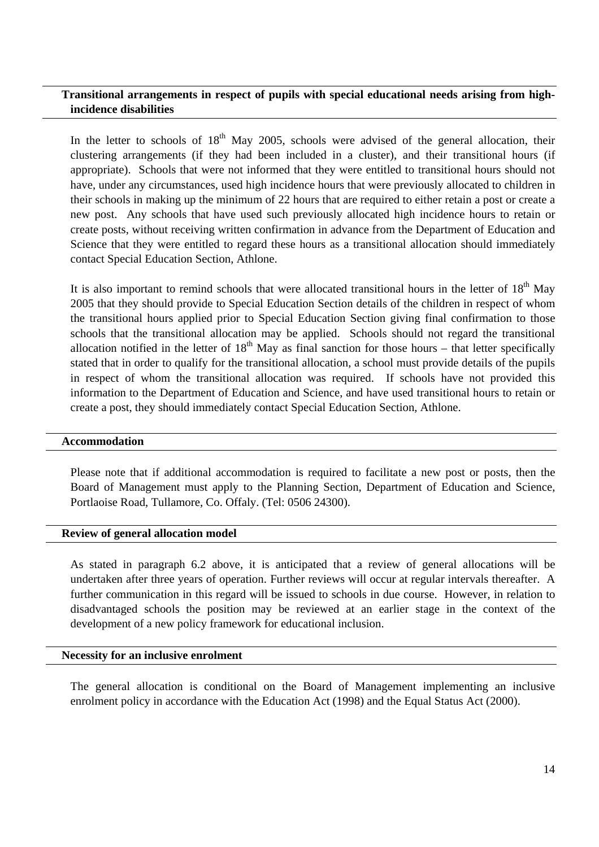# **Transitional arrangements in respect of pupils with special educational needs arising from highincidence disabilities**

In the letter to schools of  $18<sup>th</sup>$  May 2005, schools were advised of the general allocation, their clustering arrangements (if they had been included in a cluster), and their transitional hours (if appropriate). Schools that were not informed that they were entitled to transitional hours should not have, under any circumstances, used high incidence hours that were previously allocated to children in their schools in making up the minimum of 22 hours that are required to either retain a post or create a new post. Any schools that have used such previously allocated high incidence hours to retain or create posts, without receiving written confirmation in advance from the Department of Education and Science that they were entitled to regard these hours as a transitional allocation should immediately contact Special Education Section, Athlone.

It is also important to remind schools that were allocated transitional hours in the letter of  $18<sup>th</sup>$  May 2005 that they should provide to Special Education Section details of the children in respect of whom the transitional hours applied prior to Special Education Section giving final confirmation to those schools that the transitional allocation may be applied. Schools should not regard the transitional allocation notified in the letter of  $18<sup>th</sup>$  May as final sanction for those hours – that letter specifically stated that in order to qualify for the transitional allocation, a school must provide details of the pupils in respect of whom the transitional allocation was required. If schools have not provided this information to the Department of Education and Science, and have used transitional hours to retain or create a post, they should immediately contact Special Education Section, Athlone.

#### **Accommodation**

Please note that if additional accommodation is required to facilitate a new post or posts, then the Board of Management must apply to the Planning Section, Department of Education and Science, Portlaoise Road, Tullamore, Co. Offaly. (Tel: 0506 24300).

#### **Review of general allocation model**

As stated in paragraph 6.2 above, it is anticipated that a review of general allocations will be undertaken after three years of operation. Further reviews will occur at regular intervals thereafter. A further communication in this regard will be issued to schools in due course. However, in relation to disadvantaged schools the position may be reviewed at an earlier stage in the context of the development of a new policy framework for educational inclusion.

#### **Necessity for an inclusive enrolment**

 The general allocation is conditional on the Board of Management implementing an inclusive enrolment policy in accordance with the Education Act (1998) and the Equal Status Act (2000).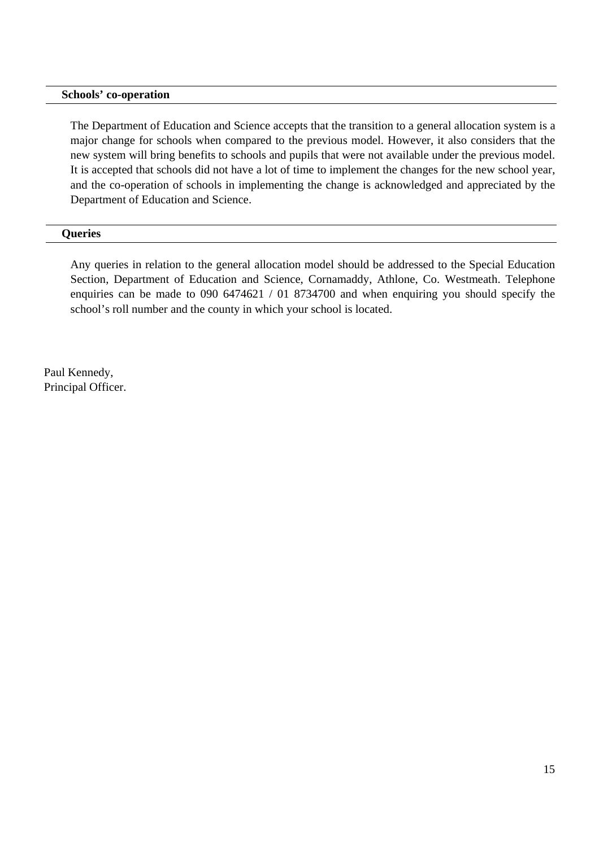#### **Schools' co-operation**

The Department of Education and Science accepts that the transition to a general allocation system is a major change for schools when compared to the previous model. However, it also considers that the new system will bring benefits to schools and pupils that were not available under the previous model. It is accepted that schools did not have a lot of time to implement the changes for the new school year, and the co-operation of schools in implementing the change is acknowledged and appreciated by the Department of Education and Science.

#### **Queries**

Any queries in relation to the general allocation model should be addressed to the Special Education Section, Department of Education and Science, Cornamaddy, Athlone, Co. Westmeath. Telephone enquiries can be made to 090 6474621 / 01 8734700 and when enquiring you should specify the school's roll number and the county in which your school is located.

Paul Kennedy, Principal Officer.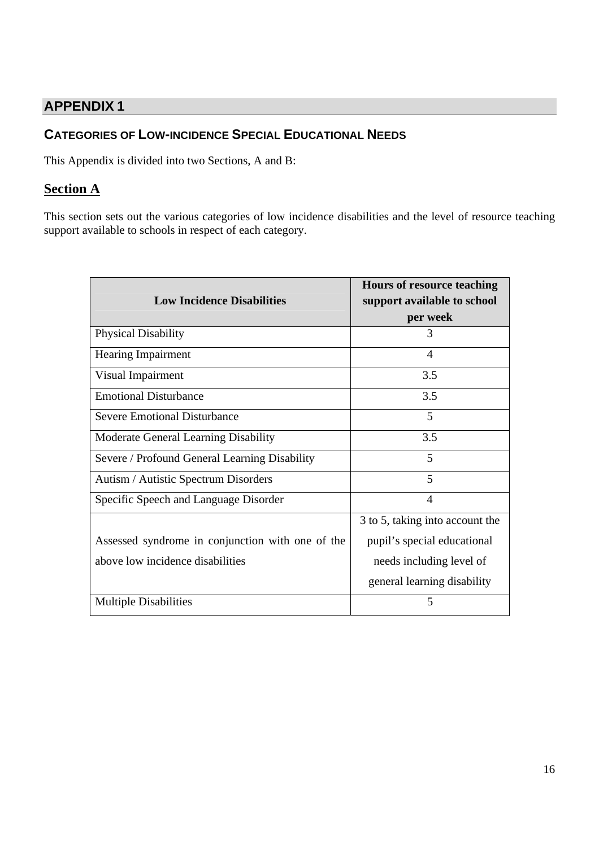# **APPENDIX 1**

# **CATEGORIES OF LOW-INCIDENCE SPECIAL EDUCATIONAL NEEDS**

This Appendix is divided into two Sections, A and B:

# **Section A**

This section sets out the various categories of low incidence disabilities and the level of resource teaching support available to schools in respect of each category.

| <b>Low Incidence Disabilities</b>                | <b>Hours of resource teaching</b><br>support available to school<br>per week |
|--------------------------------------------------|------------------------------------------------------------------------------|
| <b>Physical Disability</b>                       | 3                                                                            |
| <b>Hearing Impairment</b>                        | $\overline{4}$                                                               |
| Visual Impairment                                | 3.5                                                                          |
| <b>Emotional Disturbance</b>                     | 3.5                                                                          |
| <b>Severe Emotional Disturbance</b>              | 5                                                                            |
| Moderate General Learning Disability             | 3.5                                                                          |
| Severe / Profound General Learning Disability    | 5                                                                            |
| Autism / Autistic Spectrum Disorders             | 5                                                                            |
| Specific Speech and Language Disorder            | $\overline{4}$                                                               |
|                                                  | 3 to 5, taking into account the                                              |
| Assessed syndrome in conjunction with one of the | pupil's special educational                                                  |
| above low incidence disabilities                 | needs including level of                                                     |
|                                                  | general learning disability                                                  |
| <b>Multiple Disabilities</b>                     | 5                                                                            |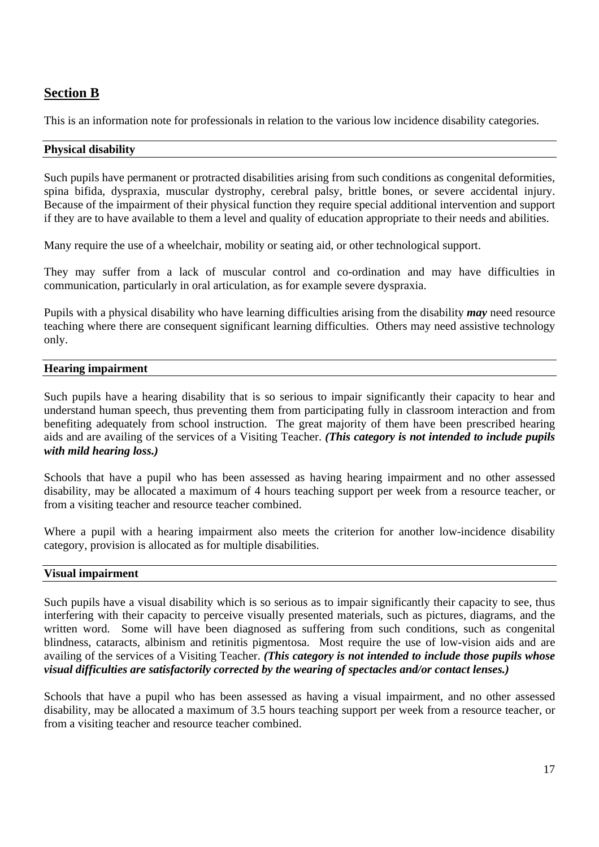# **Section B**

This is an information note for professionals in relation to the various low incidence disability categories.

#### **Physical disability**

Such pupils have permanent or protracted disabilities arising from such conditions as congenital deformities, spina bifida, dyspraxia, muscular dystrophy, cerebral palsy, brittle bones, or severe accidental injury. Because of the impairment of their physical function they require special additional intervention and support if they are to have available to them a level and quality of education appropriate to their needs and abilities.

Many require the use of a wheelchair, mobility or seating aid, or other technological support.

They may suffer from a lack of muscular control and co-ordination and may have difficulties in communication, particularly in oral articulation, as for example severe dyspraxia.

Pupils with a physical disability who have learning difficulties arising from the disability *may* need resource teaching where there are consequent significant learning difficulties. Others may need assistive technology only.

### **Hearing impairment**

Such pupils have a hearing disability that is so serious to impair significantly their capacity to hear and understand human speech, thus preventing them from participating fully in classroom interaction and from benefiting adequately from school instruction. The great majority of them have been prescribed hearing aids and are availing of the services of a Visiting Teacher. *(This category is not intended to include pupils with mild hearing loss.)* 

Schools that have a pupil who has been assessed as having hearing impairment and no other assessed disability, may be allocated a maximum of 4 hours teaching support per week from a resource teacher, or from a visiting teacher and resource teacher combined.

Where a pupil with a hearing impairment also meets the criterion for another low-incidence disability category, provision is allocated as for multiple disabilities.

#### **Visual impairment**

Such pupils have a visual disability which is so serious as to impair significantly their capacity to see, thus interfering with their capacity to perceive visually presented materials, such as pictures, diagrams, and the written word. Some will have been diagnosed as suffering from such conditions, such as congenital blindness, cataracts, albinism and retinitis pigmentosa. Most require the use of low-vision aids and are availing of the services of a Visiting Teacher. *(This category is not intended to include those pupils whose visual difficulties are satisfactorily corrected by the wearing of spectacles and/or contact lenses.)* 

Schools that have a pupil who has been assessed as having a visual impairment, and no other assessed disability, may be allocated a maximum of 3.5 hours teaching support per week from a resource teacher, or from a visiting teacher and resource teacher combined.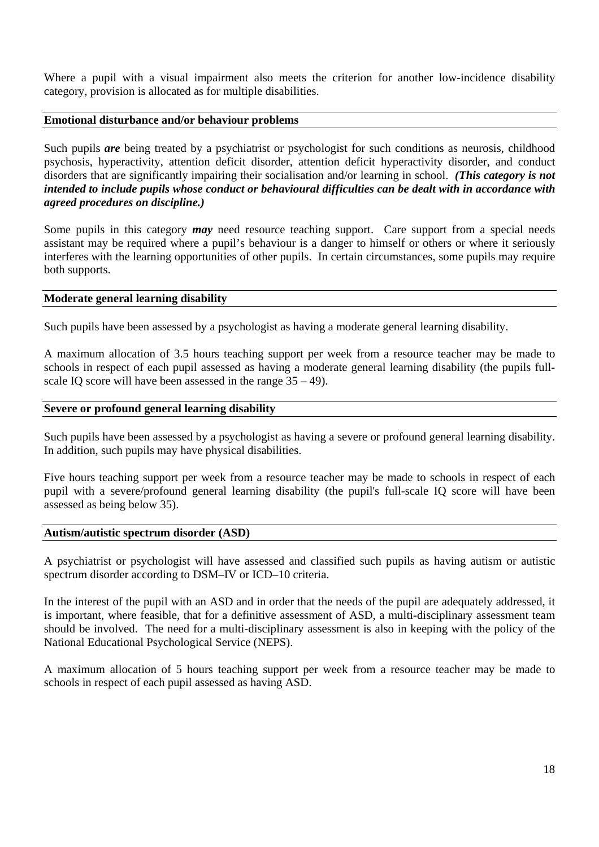Where a pupil with a visual impairment also meets the criterion for another low-incidence disability category, provision is allocated as for multiple disabilities.

#### **Emotional disturbance and/or behaviour problems**

Such pupils *are* being treated by a psychiatrist or psychologist for such conditions as neurosis, childhood psychosis, hyperactivity, attention deficit disorder, attention deficit hyperactivity disorder, and conduct disorders that are significantly impairing their socialisation and/or learning in school. *(This category is not intended to include pupils whose conduct or behavioural difficulties can be dealt with in accordance with agreed procedures on discipline.)* 

Some pupils in this category *may* need resource teaching support. Care support from a special needs assistant may be required where a pupil's behaviour is a danger to himself or others or where it seriously interferes with the learning opportunities of other pupils. In certain circumstances, some pupils may require both supports.

#### **Moderate general learning disability**

Such pupils have been assessed by a psychologist as having a moderate general learning disability.

A maximum allocation of 3.5 hours teaching support per week from a resource teacher may be made to schools in respect of each pupil assessed as having a moderate general learning disability (the pupils fullscale IQ score will have been assessed in the range  $35 - 49$ ).

#### **Severe or profound general learning disability**

Such pupils have been assessed by a psychologist as having a severe or profound general learning disability. In addition, such pupils may have physical disabilities.

Five hours teaching support per week from a resource teacher may be made to schools in respect of each pupil with a severe/profound general learning disability (the pupil's full-scale IQ score will have been assessed as being below 35).

#### **Autism/autistic spectrum disorder (ASD)**

A psychiatrist or psychologist will have assessed and classified such pupils as having autism or autistic spectrum disorder according to DSM–IV or ICD–10 criteria.

In the interest of the pupil with an ASD and in order that the needs of the pupil are adequately addressed, it is important, where feasible, that for a definitive assessment of ASD, a multi-disciplinary assessment team should be involved. The need for a multi-disciplinary assessment is also in keeping with the policy of the National Educational Psychological Service (NEPS).

A maximum allocation of 5 hours teaching support per week from a resource teacher may be made to schools in respect of each pupil assessed as having ASD.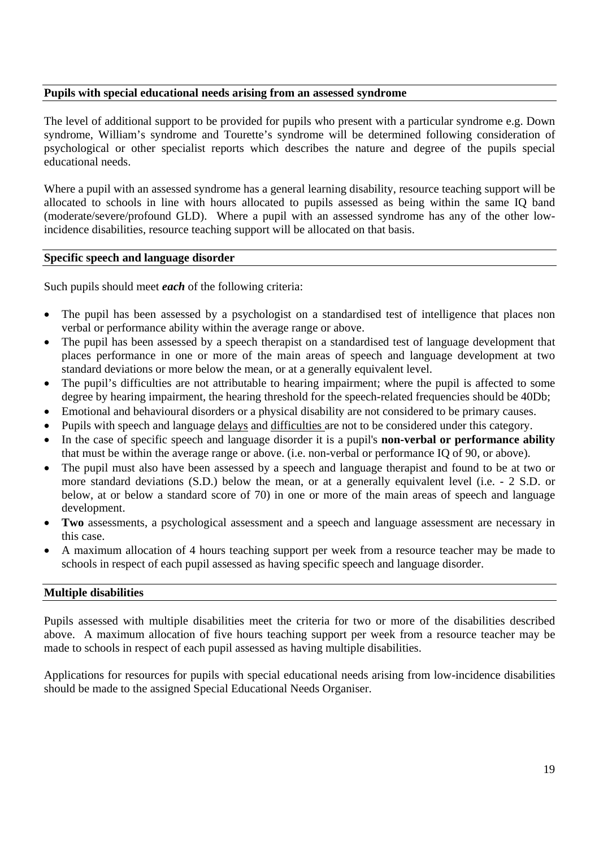#### **Pupils with special educational needs arising from an assessed syndrome**

The level of additional support to be provided for pupils who present with a particular syndrome e.g. Down syndrome, William's syndrome and Tourette's syndrome will be determined following consideration of psychological or other specialist reports which describes the nature and degree of the pupils special educational needs.

Where a pupil with an assessed syndrome has a general learning disability, resource teaching support will be allocated to schools in line with hours allocated to pupils assessed as being within the same IQ band (moderate/severe/profound GLD). Where a pupil with an assessed syndrome has any of the other lowincidence disabilities, resource teaching support will be allocated on that basis.

#### **Specific speech and language disorder**

Such pupils should meet *each* of the following criteria:

- The pupil has been assessed by a psychologist on a standardised test of intelligence that places non verbal or performance ability within the average range or above.
- The pupil has been assessed by a speech therapist on a standardised test of language development that places performance in one or more of the main areas of speech and language development at two standard deviations or more below the mean, or at a generally equivalent level.
- The pupil's difficulties are not attributable to hearing impairment; where the pupil is affected to some degree by hearing impairment, the hearing threshold for the speech-related frequencies should be 40Db;
- Emotional and behavioural disorders or a physical disability are not considered to be primary causes.
- Pupils with speech and language delays and difficulties are not to be considered under this category.
- In the case of specific speech and language disorder it is a pupil's **non-verbal or performance ability**  that must be within the average range or above. (i.e. non-verbal or performance IQ of 90, or above).
- The pupil must also have been assessed by a speech and language therapist and found to be at two or more standard deviations (S.D.) below the mean, or at a generally equivalent level (i.e. - 2 S.D. or below, at or below a standard score of 70) in one or more of the main areas of speech and language development.
- **Two** assessments, a psychological assessment and a speech and language assessment are necessary in this case.
- A maximum allocation of 4 hours teaching support per week from a resource teacher may be made to schools in respect of each pupil assessed as having specific speech and language disorder.

#### **Multiple disabilities**

Pupils assessed with multiple disabilities meet the criteria for two or more of the disabilities described above. A maximum allocation of five hours teaching support per week from a resource teacher may be made to schools in respect of each pupil assessed as having multiple disabilities.

Applications for resources for pupils with special educational needs arising from low-incidence disabilities should be made to the assigned Special Educational Needs Organiser.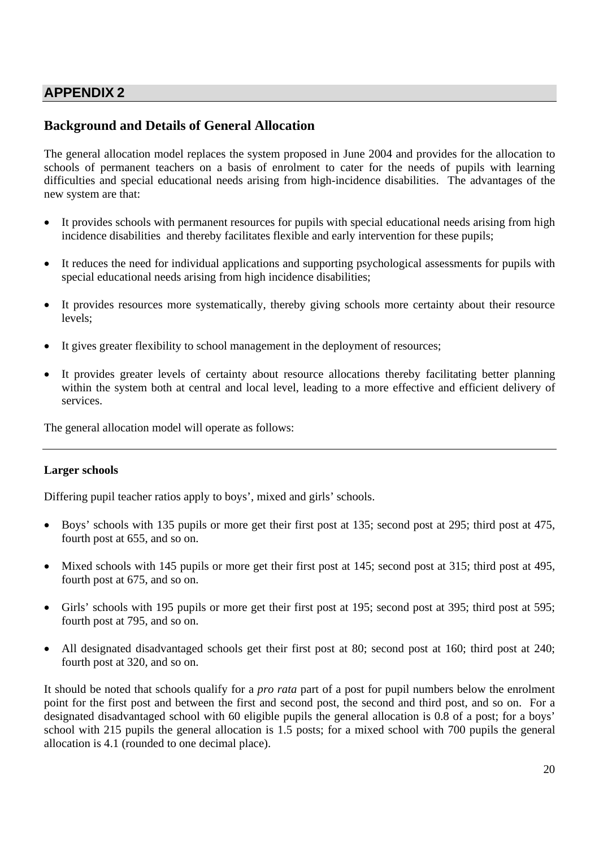# **APPENDIX 2**

# **Background and Details of General Allocation**

The general allocation model replaces the system proposed in June 2004 and provides for the allocation to schools of permanent teachers on a basis of enrolment to cater for the needs of pupils with learning difficulties and special educational needs arising from high-incidence disabilities. The advantages of the new system are that:

- It provides schools with permanent resources for pupils with special educational needs arising from high incidence disabilities and thereby facilitates flexible and early intervention for these pupils;
- It reduces the need for individual applications and supporting psychological assessments for pupils with special educational needs arising from high incidence disabilities;
- It provides resources more systematically, thereby giving schools more certainty about their resource levels;
- It gives greater flexibility to school management in the deployment of resources;
- It provides greater levels of certainty about resource allocations thereby facilitating better planning within the system both at central and local level, leading to a more effective and efficient delivery of services.

The general allocation model will operate as follows:

#### **Larger schools**

Differing pupil teacher ratios apply to boys', mixed and girls' schools.

- Boys' schools with 135 pupils or more get their first post at 135; second post at 295; third post at 475, fourth post at 655, and so on.
- Mixed schools with 145 pupils or more get their first post at 145; second post at 315; third post at 495, fourth post at 675, and so on.
- Girls' schools with 195 pupils or more get their first post at 195; second post at 395; third post at 595; fourth post at 795, and so on.
- All designated disadvantaged schools get their first post at 80; second post at 160; third post at 240; fourth post at 320, and so on.

It should be noted that schools qualify for a *pro rata* part of a post for pupil numbers below the enrolment point for the first post and between the first and second post, the second and third post, and so on. For a designated disadvantaged school with 60 eligible pupils the general allocation is 0.8 of a post; for a boys' school with 215 pupils the general allocation is 1.5 posts; for a mixed school with 700 pupils the general allocation is 4.1 (rounded to one decimal place).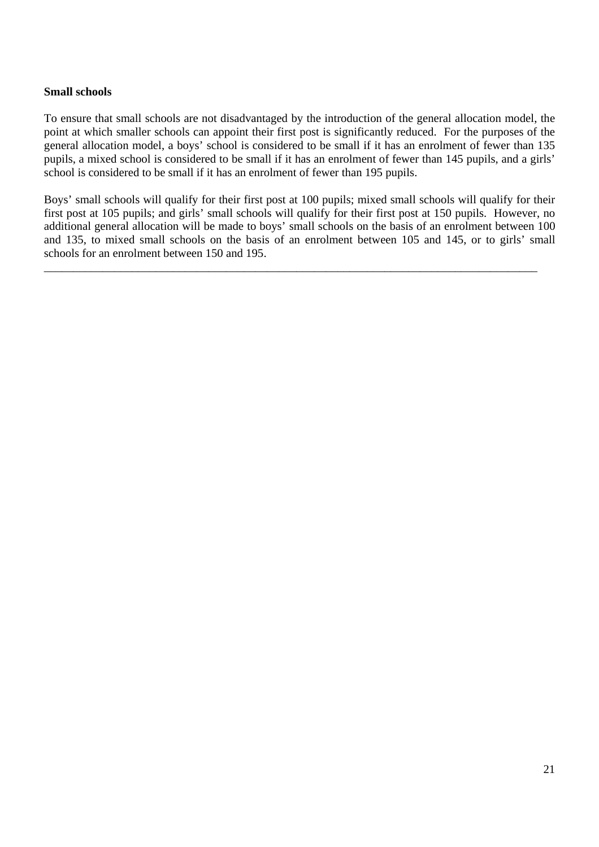### **Small schools**

To ensure that small schools are not disadvantaged by the introduction of the general allocation model, the point at which smaller schools can appoint their first post is significantly reduced. For the purposes of the general allocation model, a boys' school is considered to be small if it has an enrolment of fewer than 135 pupils, a mixed school is considered to be small if it has an enrolment of fewer than 145 pupils, and a girls' school is considered to be small if it has an enrolment of fewer than 195 pupils.

Boys' small schools will qualify for their first post at 100 pupils; mixed small schools will qualify for their first post at 105 pupils; and girls' small schools will qualify for their first post at 150 pupils. However, no additional general allocation will be made to boys' small schools on the basis of an enrolment between 100 and 135, to mixed small schools on the basis of an enrolment between 105 and 145, or to girls' small schools for an enrolment between 150 and 195.

\_\_\_\_\_\_\_\_\_\_\_\_\_\_\_\_\_\_\_\_\_\_\_\_\_\_\_\_\_\_\_\_\_\_\_\_\_\_\_\_\_\_\_\_\_\_\_\_\_\_\_\_\_\_\_\_\_\_\_\_\_\_\_\_\_\_\_\_\_\_\_\_\_\_\_\_\_\_\_\_\_\_\_\_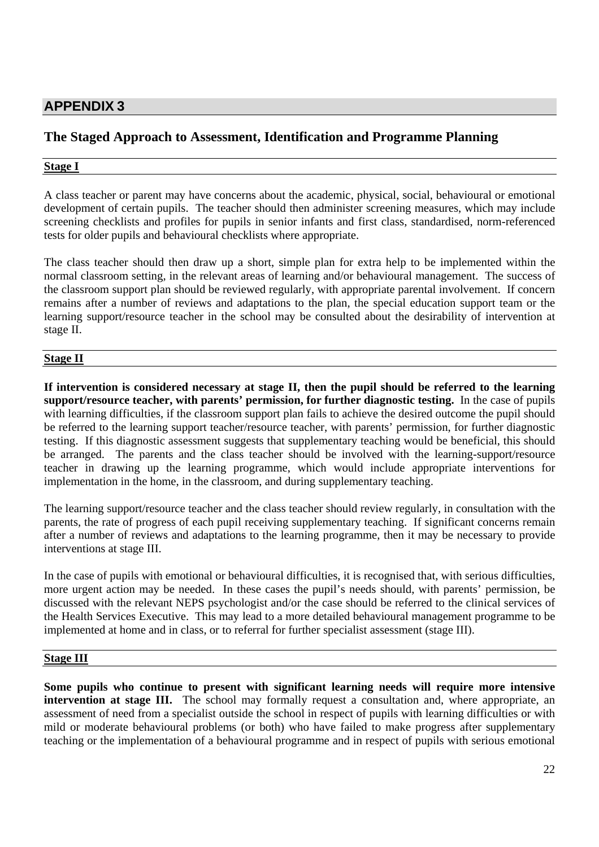# **APPENDIX 3**

# **The Staged Approach to Assessment, Identification and Programme Planning**

### **Stage I**

A class teacher or parent may have concerns about the academic, physical, social, behavioural or emotional development of certain pupils. The teacher should then administer screening measures, which may include screening checklists and profiles for pupils in senior infants and first class, standardised, norm-referenced tests for older pupils and behavioural checklists where appropriate.

The class teacher should then draw up a short, simple plan for extra help to be implemented within the normal classroom setting, in the relevant areas of learning and/or behavioural management. The success of the classroom support plan should be reviewed regularly, with appropriate parental involvement. If concern remains after a number of reviews and adaptations to the plan, the special education support team or the learning support/resource teacher in the school may be consulted about the desirability of intervention at stage II.

### **Stage II**

**If intervention is considered necessary at stage II, then the pupil should be referred to the learning support/resource teacher, with parents' permission, for further diagnostic testing.** In the case of pupils with learning difficulties, if the classroom support plan fails to achieve the desired outcome the pupil should be referred to the learning support teacher/resource teacher, with parents' permission, for further diagnostic testing. If this diagnostic assessment suggests that supplementary teaching would be beneficial, this should be arranged. The parents and the class teacher should be involved with the learning-support/resource teacher in drawing up the learning programme, which would include appropriate interventions for implementation in the home, in the classroom, and during supplementary teaching.

The learning support/resource teacher and the class teacher should review regularly, in consultation with the parents, the rate of progress of each pupil receiving supplementary teaching. If significant concerns remain after a number of reviews and adaptations to the learning programme, then it may be necessary to provide interventions at stage III.

In the case of pupils with emotional or behavioural difficulties, it is recognised that, with serious difficulties, more urgent action may be needed. In these cases the pupil's needs should, with parents' permission, be discussed with the relevant NEPS psychologist and/or the case should be referred to the clinical services of the Health Services Executive. This may lead to a more detailed behavioural management programme to be implemented at home and in class, or to referral for further specialist assessment (stage III).

#### **Stage III**

**Some pupils who continue to present with significant learning needs will require more intensive intervention at stage III.** The school may formally request a consultation and, where appropriate, an assessment of need from a specialist outside the school in respect of pupils with learning difficulties or with mild or moderate behavioural problems (or both) who have failed to make progress after supplementary teaching or the implementation of a behavioural programme and in respect of pupils with serious emotional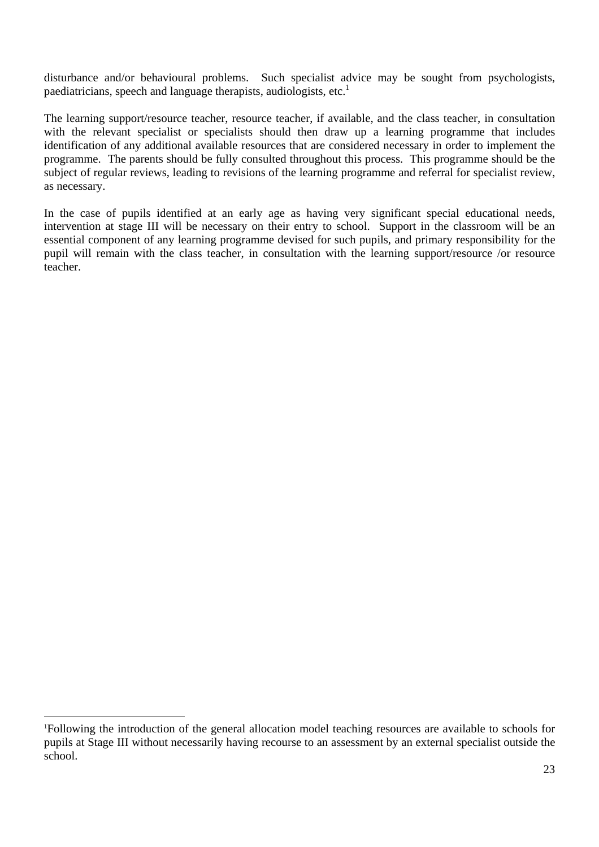disturbance and/or behavioural problems. Such specialist advice may be sought from psychologists, paediatricians, speech and language therapists, audiologists, etc.<sup>1</sup>

The learning support/resource teacher, resource teacher, if available, and the class teacher, in consultation with the relevant specialist or specialists should then draw up a learning programme that includes identification of any additional available resources that are considered necessary in order to implement the programme. The parents should be fully consulted throughout this process. This programme should be the subject of regular reviews, leading to revisions of the learning programme and referral for specialist review, as necessary.

In the case of pupils identified at an early age as having very significant special educational needs, intervention at stage III will be necessary on their entry to school. Support in the classroom will be an essential component of any learning programme devised for such pupils, and primary responsibility for the pupil will remain with the class teacher, in consultation with the learning support/resource /or resource teacher.

<sup>1</sup> Following the introduction of the general allocation model teaching resources are available to schools for pupils at Stage III without necessarily having recourse to an assessment by an external specialist outside the school.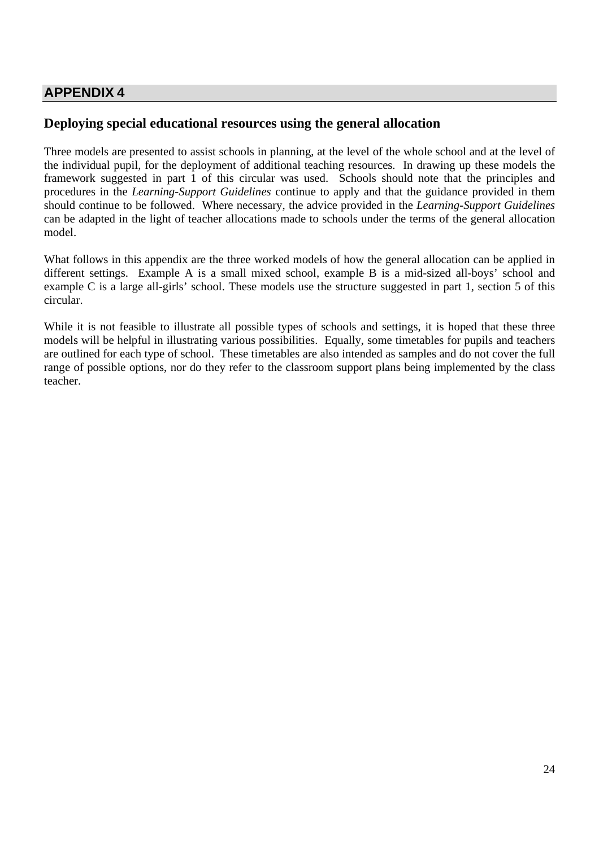# **APPENDIX 4**

# **Deploying special educational resources using the general allocation**

Three models are presented to assist schools in planning, at the level of the whole school and at the level of the individual pupil, for the deployment of additional teaching resources. In drawing up these models the framework suggested in part 1 of this circular was used. Schools should note that the principles and procedures in the *Learning-Support Guidelines* continue to apply and that the guidance provided in them should continue to be followed. Where necessary, the advice provided in the *Learning-Support Guidelines* can be adapted in the light of teacher allocations made to schools under the terms of the general allocation model.

What follows in this appendix are the three worked models of how the general allocation can be applied in different settings. Example A is a small mixed school, example B is a mid-sized all-boys' school and example C is a large all-girls' school. These models use the structure suggested in part 1, section 5 of this circular.

While it is not feasible to illustrate all possible types of schools and settings, it is hoped that these three models will be helpful in illustrating various possibilities. Equally, some timetables for pupils and teachers are outlined for each type of school. These timetables are also intended as samples and do not cover the full range of possible options, nor do they refer to the classroom support plans being implemented by the class teacher.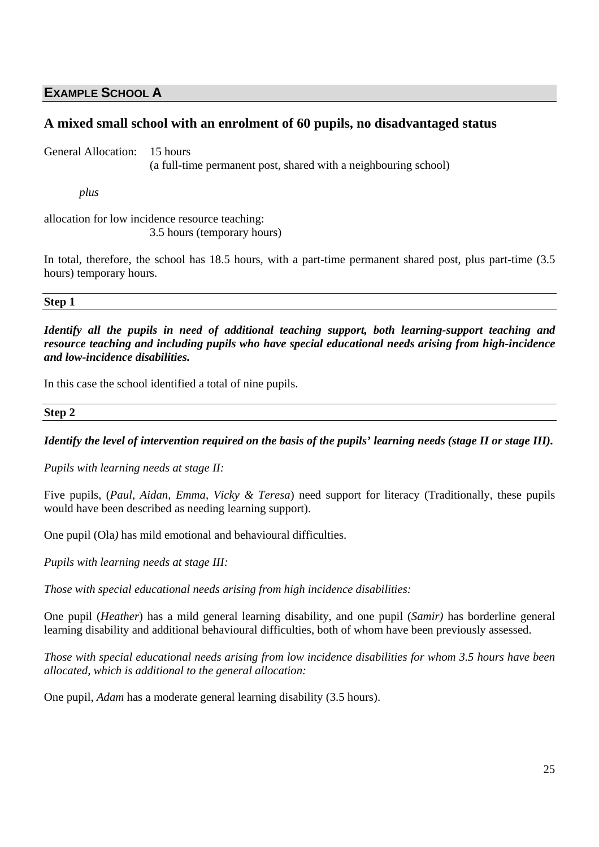## **EXAMPLE SCHOOL A**

## **A mixed small school with an enrolment of 60 pupils, no disadvantaged status**

General Allocation: 15 hours

(a full-time permanent post, shared with a neighbouring school)

 *plus* 

allocation for low incidence resource teaching: 3.5 hours (temporary hours)

In total, therefore, the school has 18.5 hours, with a part-time permanent shared post, plus part-time (3.5 hours) temporary hours.

#### **Step 1**

*Identify all the pupils in need of additional teaching support, both learning-support teaching and resource teaching and including pupils who have special educational needs arising from high-incidence and low-incidence disabilities.*

In this case the school identified a total of nine pupils.

**Step 2** 

*Identify the level of intervention required on the basis of the pupils' learning needs (stage II or stage III).* 

*Pupils with learning needs at stage II:* 

Five pupils, (*Paul, Aidan, Emma, Vicky & Teresa*) need support for literacy (Traditionally, these pupils would have been described as needing learning support).

One pupil (Ola*)* has mild emotional and behavioural difficulties.

*Pupils with learning needs at stage III:* 

*Those with special educational needs arising from high incidence disabilities:* 

One pupil (*Heather*) has a mild general learning disability*,* and one pupil (*Samir)* has borderline general learning disability and additional behavioural difficulties, both of whom have been previously assessed.

*Those with special educational needs arising from low incidence disabilities for whom 3.5 hours have been allocated, which is additional to the general allocation:*

One pupil, *Adam* has a moderate general learning disability (3.5 hours).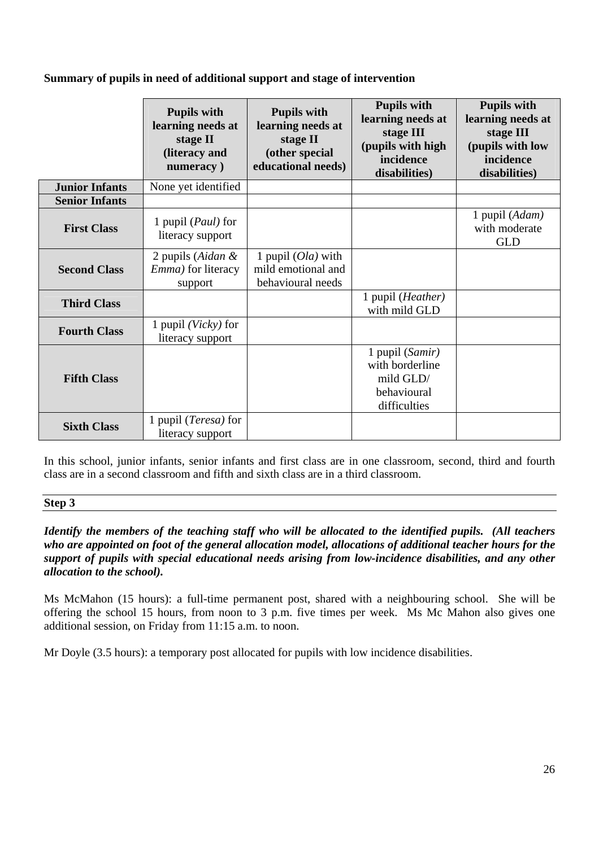## **Summary of pupils in need of additional support and stage of intervention**

|                       | <b>Pupils with</b><br>learning needs at<br>stage II<br>(literacy and<br>numeracy) | <b>Pupils with</b><br>learning needs at<br>stage II<br>(other special<br>educational needs) | <b>Pupils with</b><br>learning needs at<br>stage III<br>(pupils with high<br>incidence<br>disabilities) | <b>Pupils with</b><br>learning needs at<br>stage III<br>(pupils with low<br>incidence<br>disabilities) |
|-----------------------|-----------------------------------------------------------------------------------|---------------------------------------------------------------------------------------------|---------------------------------------------------------------------------------------------------------|--------------------------------------------------------------------------------------------------------|
| <b>Junior Infants</b> | None yet identified                                                               |                                                                                             |                                                                                                         |                                                                                                        |
| <b>Senior Infants</b> |                                                                                   |                                                                                             |                                                                                                         |                                                                                                        |
| <b>First Class</b>    | 1 pupil ( <i>Paul</i> ) for<br>literacy support                                   |                                                                                             |                                                                                                         | 1 pupil (Adam)<br>with moderate<br><b>GLD</b>                                                          |
| <b>Second Class</b>   | 2 pupils (Aidan $\&$<br>Emma) for literacy<br>support                             | 1 pupil $(Ola)$ with<br>mild emotional and<br>behavioural needs                             |                                                                                                         |                                                                                                        |
| <b>Third Class</b>    |                                                                                   |                                                                                             | 1 pupil (Heather)<br>with mild GLD                                                                      |                                                                                                        |
| <b>Fourth Class</b>   | 1 pupil (Vicky) for<br>literacy support                                           |                                                                                             |                                                                                                         |                                                                                                        |
| <b>Fifth Class</b>    |                                                                                   |                                                                                             | 1 pupil (Samir)<br>with borderline<br>mild GLD/<br>behavioural<br>difficulties                          |                                                                                                        |
| <b>Sixth Class</b>    | 1 pupil ( <i>Teresa</i> ) for<br>literacy support                                 |                                                                                             |                                                                                                         |                                                                                                        |

In this school, junior infants, senior infants and first class are in one classroom, second, third and fourth class are in a second classroom and fifth and sixth class are in a third classroom.

## **Step 3**

*Identify the members of the teaching staff who will be allocated to the identified pupils. (All teachers who are appointed on foot of the general allocation model, allocations of additional teacher hours for the support of pupils with special educational needs arising from low-incidence disabilities, and any other allocation to the school).* 

Ms McMahon (15 hours): a full-time permanent post, shared with a neighbouring school. She will be offering the school 15 hours, from noon to 3 p.m. five times per week. Ms Mc Mahon also gives one additional session, on Friday from 11:15 a.m. to noon.

Mr Doyle (3.5 hours): a temporary post allocated for pupils with low incidence disabilities.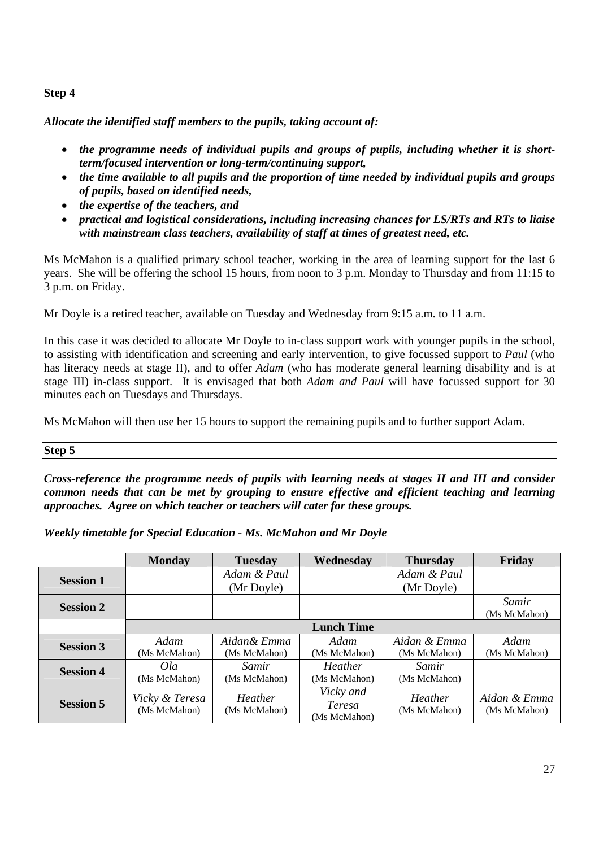#### **Step 4**

*Allocate the identified staff members to the pupils, taking account of:* 

- *the programme needs of individual pupils and groups of pupils, including whether it is shortterm/focused intervention or long-term/continuing support,*
- *the time available to all pupils and the proportion of time needed by individual pupils and groups of pupils, based on identified needs,*
- *the expertise of the teachers, and*
- *practical and logistical considerations, including increasing chances for LS/RTs and RTs to liaise with mainstream class teachers, availability of staff at times of greatest need, etc.*

Ms McMahon is a qualified primary school teacher, working in the area of learning support for the last 6 years. She will be offering the school 15 hours, from noon to 3 p.m. Monday to Thursday and from 11:15 to 3 p.m. on Friday.

Mr Doyle is a retired teacher, available on Tuesday and Wednesday from 9:15 a.m. to 11 a.m.

In this case it was decided to allocate Mr Doyle to in-class support work with younger pupils in the school, to assisting with identification and screening and early intervention, to give focussed support to *Paul* (who has literacy needs at stage II), and to offer *Adam* (who has moderate general learning disability and is at stage III) in-class support. It is envisaged that both *Adam and Paul* will have focussed support for 30 minutes each on Tuesdays and Thursdays.

Ms McMahon will then use her 15 hours to support the remaining pupils and to further support Adam.

## **Step 5**

*Cross-reference the programme needs of pupils with learning needs at stages II and III and consider common needs that can be met by grouping to ensure effective and efficient teaching and learning approaches. Agree on which teacher or teachers will cater for these groups.* 

*Weekly timetable for Special Education - Ms. McMahon and Mr Doyle* 

|                  | <b>Monday</b>                  | <b>Tuesday</b>               | Wednesday                           | <b>Thursday</b>              | Friday                       |
|------------------|--------------------------------|------------------------------|-------------------------------------|------------------------------|------------------------------|
| <b>Session 1</b> |                                | Adam & Paul<br>(Mr Doyle)    |                                     | Adam & Paul<br>(Mr Doyle)    |                              |
| <b>Session 2</b> |                                |                              |                                     |                              | Samir<br>(Ms McMahon)        |
|                  | <b>Lunch Time</b>              |                              |                                     |                              |                              |
| <b>Session 3</b> | Adam<br>(Ms McMahon)           | Aidan & Emma<br>(Ms McMahon) | Adam<br>(Ms McMahon)                | Aidan & Emma<br>(Ms McMahon) | Adam<br>(Ms McMahon)         |
| <b>Session 4</b> | Ola<br>(Ms McMahon)            | Samir<br>(Ms McMahon)        | Heather<br>(Ms McMahon)             | Samir<br>(Ms McMahon)        |                              |
| <b>Session 5</b> | Vicky & Teresa<br>(Ms McMahon) | Heather<br>(Ms McMahon)      | Vicky and<br>Teresa<br>(Ms McMahon) | Heather<br>(Ms McMahon)      | Aidan & Emma<br>(Ms McMahon) |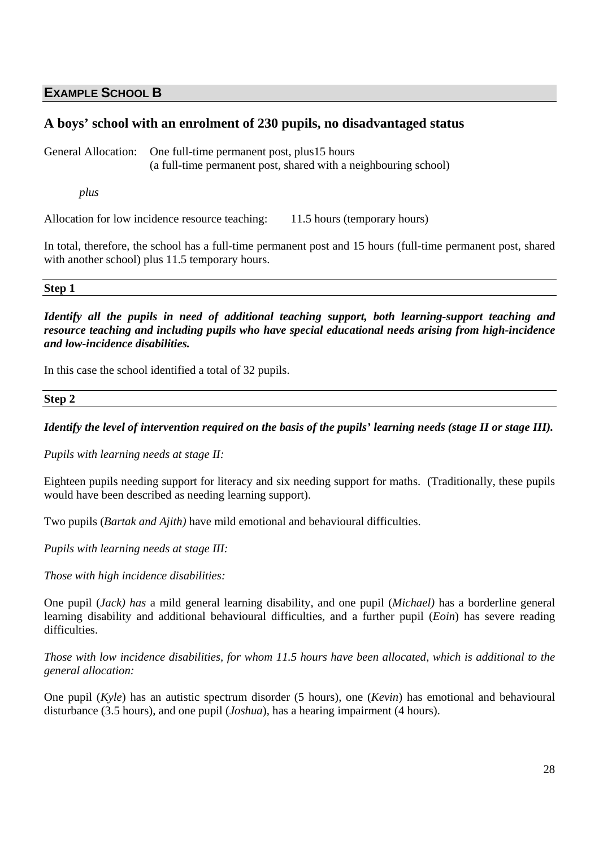# **EXAMPLE SCHOOL B**

# **A boys' school with an enrolment of 230 pupils, no disadvantaged status**

General Allocation: One full-time permanent post, plus15 hours (a full-time permanent post, shared with a neighbouring school)

 *plus* 

Allocation for low incidence resource teaching: 11.5 hours (temporary hours)

In total, therefore, the school has a full-time permanent post and 15 hours (full-time permanent post, shared with another school) plus 11.5 temporary hours.

#### **Step 1**

*Identify all the pupils in need of additional teaching support, both learning-support teaching and resource teaching and including pupils who have special educational needs arising from high-incidence and low-incidence disabilities.*

In this case the school identified a total of 32 pupils.

#### **Step 2**

#### *Identify the level of intervention required on the basis of the pupils' learning needs (stage II or stage III).*

*Pupils with learning needs at stage II:* 

Eighteen pupils needing support for literacy and six needing support for maths. (Traditionally, these pupils would have been described as needing learning support).

Two pupils (*Bartak and Ajith)* have mild emotional and behavioural difficulties.

*Pupils with learning needs at stage III:* 

*Those with high incidence disabilities:* 

One pupil (*Jack) has* a mild general learning disability, and one pupil (*Michael)* has a borderline general learning disability and additional behavioural difficulties*,* and a further pupil (*Eoin*) has severe reading difficulties.

*Those with low incidence disabilities, for whom 11.5 hours have been allocated, which is additional to the general allocation:* 

One pupil (*Kyle*) has an autistic spectrum disorder (5 hours), one (*Kevin*) has emotional and behavioural disturbance (3.5 hours), and one pupil (*Joshua*), has a hearing impairment (4 hours).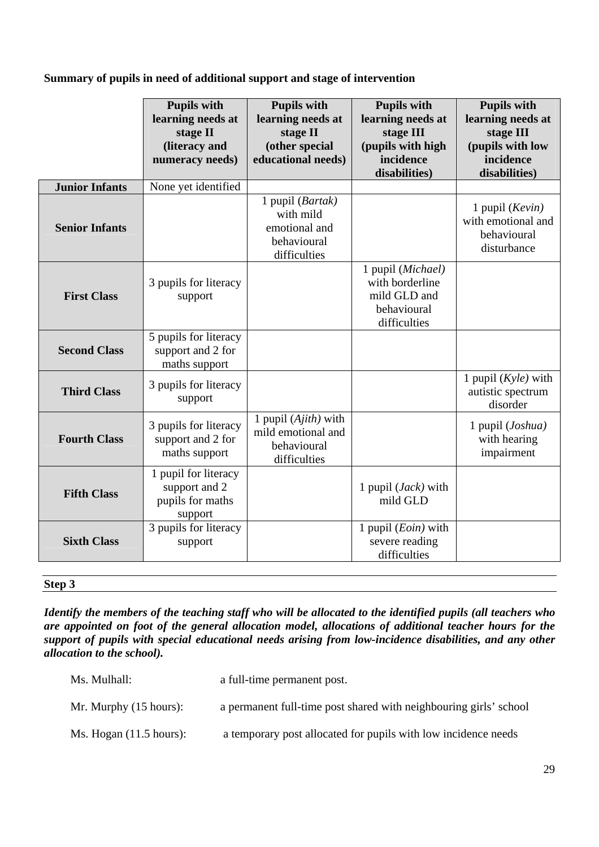**Summary of pupils in need of additional support and stage of intervention**

|                       | <b>Pupils with</b><br>learning needs at<br>stage II<br>(literacy and<br>numeracy needs) | <b>Pupils with</b><br>learning needs at<br>stage II<br>(other special<br>educational needs) | <b>Pupils with</b><br>learning needs at<br>stage III<br>(pupils with high<br>incidence<br>disabilities) | <b>Pupils with</b><br>learning needs at<br>stage III<br>(pupils with low<br>incidence<br>disabilities) |
|-----------------------|-----------------------------------------------------------------------------------------|---------------------------------------------------------------------------------------------|---------------------------------------------------------------------------------------------------------|--------------------------------------------------------------------------------------------------------|
| <b>Junior Infants</b> | None yet identified                                                                     |                                                                                             |                                                                                                         |                                                                                                        |
| <b>Senior Infants</b> |                                                                                         | 1 pupil (Bartak)<br>with mild<br>emotional and<br>behavioural<br>difficulties               |                                                                                                         | 1 pupil $(Kevin)$<br>with emotional and<br>behavioural<br>disturbance                                  |
| <b>First Class</b>    | 3 pupils for literacy<br>support                                                        |                                                                                             | 1 pupil (Michael)<br>with borderline<br>mild GLD and<br>behavioural<br>difficulties                     |                                                                                                        |
| <b>Second Class</b>   | 5 pupils for literacy<br>support and 2 for<br>maths support                             |                                                                                             |                                                                                                         |                                                                                                        |
| <b>Third Class</b>    | 3 pupils for literacy<br>support                                                        |                                                                                             |                                                                                                         | 1 pupil $(Kyle)$ with<br>autistic spectrum<br>disorder                                                 |
| <b>Fourth Class</b>   | 3 pupils for literacy<br>support and 2 for<br>maths support                             | 1 pupil (Ajith) with<br>mild emotional and<br>behavioural<br>difficulties                   |                                                                                                         | 1 pupil (Joshua)<br>with hearing<br>impairment                                                         |
| <b>Fifth Class</b>    | 1 pupil for literacy<br>support and 2<br>pupils for maths<br>support                    |                                                                                             | 1 pupil ( <i>Jack</i> ) with<br>mild GLD                                                                |                                                                                                        |
| <b>Sixth Class</b>    | 3 pupils for literacy<br>support                                                        |                                                                                             | 1 pupil (Eoin) with<br>severe reading<br>difficulties                                                   |                                                                                                        |

### **Step 3**

*Identify the members of the teaching staff who will be allocated to the identified pupils (all teachers who are appointed on foot of the general allocation model, allocations of additional teacher hours for the support of pupils with special educational needs arising from low-incidence disabilities, and any other allocation to the school).*

| Ms. Mulhall:                       | a full-time permanent post.                                       |
|------------------------------------|-------------------------------------------------------------------|
| Mr. Murphy $(15 \text{ hours})$ :  | a permanent full-time post shared with neighbouring girls' school |
| Ms. Hogan $(11.5 \text{ hours})$ : | a temporary post allocated for pupils with low incidence needs    |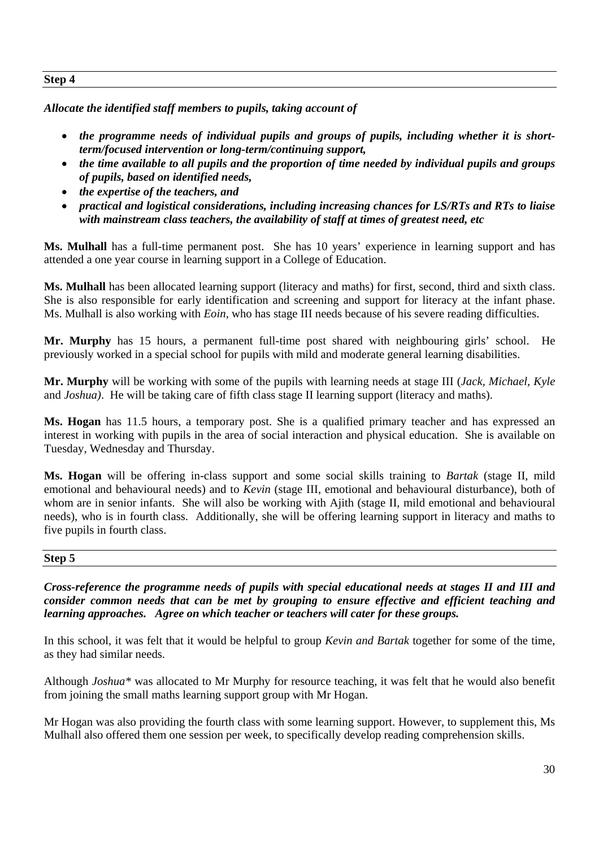#### **Step 4**

*Allocate the identified staff members to pupils, taking account of* 

- *the programme needs of individual pupils and groups of pupils, including whether it is shortterm/focused intervention or long-term/continuing support,*
- *the time available to all pupils and the proportion of time needed by individual pupils and groups of pupils, based on identified needs,*
- *the expertise of the teachers, and*
- *practical and logistical considerations, including increasing chances for LS/RTs and RTs to liaise with mainstream class teachers, the availability of staff at times of greatest need, etc*

**Ms. Mulhall** has a full-time permanent post. She has 10 years' experience in learning support and has attended a one year course in learning support in a College of Education.

**Ms. Mulhall** has been allocated learning support (literacy and maths) for first, second, third and sixth class. She is also responsible for early identification and screening and support for literacy at the infant phase. Ms. Mulhall is also working with *Eoin,* who has stage III needs because of his severe reading difficulties.

**Mr. Murphy** has 15 hours, a permanent full-time post shared with neighbouring girls' school. He previously worked in a special school for pupils with mild and moderate general learning disabilities.

**Mr. Murphy** will be working with some of the pupils with learning needs at stage III (*Jack, Michael, Kyle*  and *Joshua)*. He will be taking care of fifth class stage II learning support (literacy and maths).

**Ms. Hogan** has 11.5 hours, a temporary post. She is a qualified primary teacher and has expressed an interest in working with pupils in the area of social interaction and physical education. She is available on Tuesday, Wednesday and Thursday.

**Ms. Hogan** will be offering in-class support and some social skills training to *Bartak* (stage II, mild emotional and behavioural needs) and to *Kevin* (stage III, emotional and behavioural disturbance), both of whom are in senior infants. She will also be working with Ajith (stage II, mild emotional and behavioural needs), who is in fourth class. Additionally, she will be offering learning support in literacy and maths to five pupils in fourth class.

## **Step 5**

*Cross-reference the programme needs of pupils with special educational needs at stages II and III and consider common needs that can be met by grouping to ensure effective and efficient teaching and learning approaches. Agree on which teacher or teachers will cater for these groups.* 

In this school, it was felt that it would be helpful to group *Kevin and Bartak* together for some of the time, as they had similar needs.

Although *Joshua\** was allocated to Mr Murphy for resource teaching, it was felt that he would also benefit from joining the small maths learning support group with Mr Hogan.

Mr Hogan was also providing the fourth class with some learning support. However, to supplement this, Ms Mulhall also offered them one session per week, to specifically develop reading comprehension skills.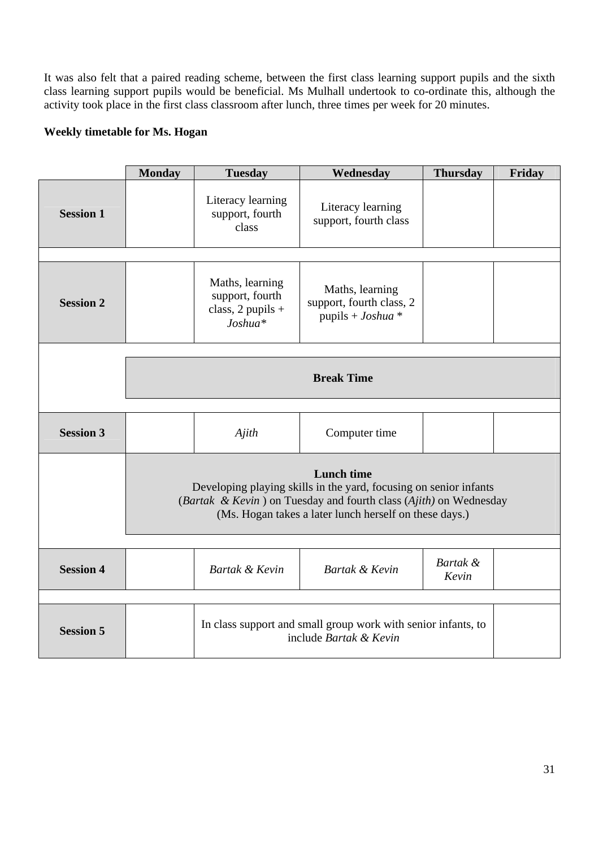It was also felt that a paired reading scheme, between the first class learning support pupils and the sixth class learning support pupils would be beneficial. Ms Mulhall undertook to co-ordinate this, although the activity took place in the first class classroom after lunch, three times per week for 20 minutes.

# **Weekly timetable for Ms. Hogan**

|                  | <b>Monday</b>                                                                                                                                                                                                         | <b>Tuesday</b>                                                       | Wednesday                                                          | <b>Thursday</b>   | Friday |  |  |
|------------------|-----------------------------------------------------------------------------------------------------------------------------------------------------------------------------------------------------------------------|----------------------------------------------------------------------|--------------------------------------------------------------------|-------------------|--------|--|--|
| <b>Session 1</b> |                                                                                                                                                                                                                       | Literacy learning<br>support, fourth<br>class                        | Literacy learning<br>support, fourth class                         |                   |        |  |  |
| <b>Session 2</b> |                                                                                                                                                                                                                       | Maths, learning<br>support, fourth<br>class, $2$ pupils +<br>Joshua* | Maths, learning<br>support, fourth class, 2<br>pupils + $Joshua$ * |                   |        |  |  |
|                  |                                                                                                                                                                                                                       |                                                                      |                                                                    |                   |        |  |  |
|                  |                                                                                                                                                                                                                       | <b>Break Time</b>                                                    |                                                                    |                   |        |  |  |
|                  |                                                                                                                                                                                                                       |                                                                      |                                                                    |                   |        |  |  |
| <b>Session 3</b> |                                                                                                                                                                                                                       | Ajith                                                                | Computer time                                                      |                   |        |  |  |
|                  | <b>Lunch</b> time<br>Developing playing skills in the yard, focusing on senior infants<br>(Bartak & Kevin) on Tuesday and fourth class (Ajith) on Wednesday<br>(Ms. Hogan takes a later lunch herself on these days.) |                                                                      |                                                                    |                   |        |  |  |
| <b>Session 4</b> |                                                                                                                                                                                                                       | Bartak & Kevin                                                       | Bartak & Kevin                                                     | Bartak &<br>Kevin |        |  |  |
|                  |                                                                                                                                                                                                                       |                                                                      |                                                                    |                   |        |  |  |
| <b>Session 5</b> | In class support and small group work with senior infants, to<br>include Bartak & Kevin                                                                                                                               |                                                                      |                                                                    |                   |        |  |  |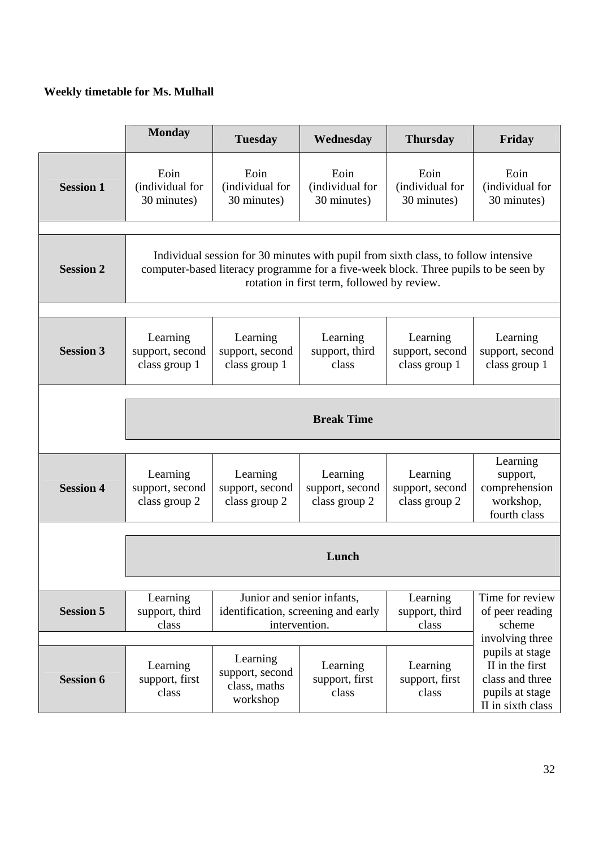# **Weekly timetable for Ms. Mulhall**

|                  | <b>Monday</b>                                                                                                                                                                                                            | <b>Tuesday</b>                                                                     | Wednesday                                    | <b>Thursday</b>                              | Friday                                                                     |
|------------------|--------------------------------------------------------------------------------------------------------------------------------------------------------------------------------------------------------------------------|------------------------------------------------------------------------------------|----------------------------------------------|----------------------------------------------|----------------------------------------------------------------------------|
| <b>Session 1</b> | Eoin<br>(individual for<br>30 minutes)                                                                                                                                                                                   | Eoin<br>(individual for<br>30 minutes)                                             | Eoin<br>(individual for<br>30 minutes)       | Eoin<br>(individual for<br>30 minutes)       | Eoin<br>(individual for<br>30 minutes)                                     |
|                  |                                                                                                                                                                                                                          |                                                                                    |                                              |                                              |                                                                            |
| <b>Session 2</b> | Individual session for 30 minutes with pupil from sixth class, to follow intensive<br>computer-based literacy programme for a five-week block. Three pupils to be seen by<br>rotation in first term, followed by review. |                                                                                    |                                              |                                              |                                                                            |
|                  |                                                                                                                                                                                                                          |                                                                                    |                                              |                                              |                                                                            |
| <b>Session 3</b> | Learning<br>support, second<br>class group 1                                                                                                                                                                             | Learning<br>support, second<br>class group 1                                       | Learning<br>support, third<br>class          | Learning<br>support, second<br>class group 1 | Learning<br>support, second<br>class group 1                               |
|                  |                                                                                                                                                                                                                          |                                                                                    |                                              |                                              |                                                                            |
|                  |                                                                                                                                                                                                                          |                                                                                    | <b>Break Time</b>                            |                                              |                                                                            |
|                  |                                                                                                                                                                                                                          |                                                                                    |                                              |                                              |                                                                            |
| <b>Session 4</b> | Learning<br>support, second<br>class group 2                                                                                                                                                                             | Learning<br>support, second<br>class group 2                                       | Learning<br>support, second<br>class group 2 | Learning<br>support, second<br>class group 2 | Learning<br>support,<br>comprehension<br>workshop,<br>fourth class         |
|                  |                                                                                                                                                                                                                          |                                                                                    |                                              |                                              |                                                                            |
|                  |                                                                                                                                                                                                                          |                                                                                    | Lunch                                        |                                              |                                                                            |
|                  |                                                                                                                                                                                                                          |                                                                                    |                                              |                                              |                                                                            |
| <b>Session 5</b> | Learning<br>support, third<br>class                                                                                                                                                                                      | Junior and senior infants,<br>identification, screening and early<br>intervention. |                                              | Learning<br>support, third<br>class          | Time for review<br>of peer reading<br>scheme                               |
|                  |                                                                                                                                                                                                                          |                                                                                    |                                              |                                              | involving three<br>pupils at stage                                         |
| <b>Session 6</b> | Learning<br>support, first<br>class                                                                                                                                                                                      | Learning<br>support, second<br>class, maths<br>workshop                            | Learning<br>support, first<br>class          | Learning<br>support, first<br>class          | II in the first<br>class and three<br>pupils at stage<br>II in sixth class |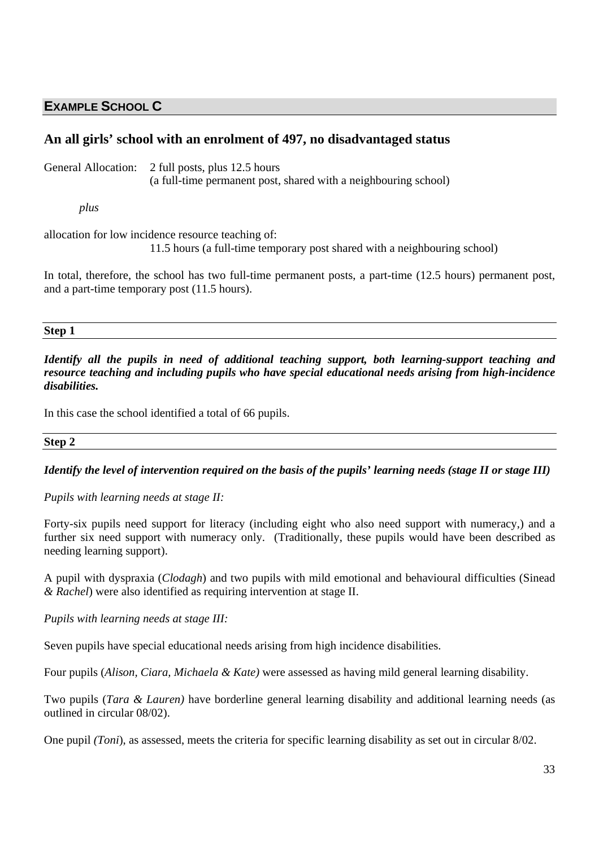# **EXAMPLE SCHOOL C**

## **An all girls' school with an enrolment of 497, no disadvantaged status**

General Allocation: 2 full posts, plus 12.5 hours

(a full-time permanent post, shared with a neighbouring school)

 *plus* 

allocation for low incidence resource teaching of:

11.5 hours (a full-time temporary post shared with a neighbouring school)

In total, therefore, the school has two full-time permanent posts, a part-time (12.5 hours) permanent post, and a part-time temporary post (11.5 hours).

#### **Step 1**

*Identify all the pupils in need of additional teaching support, both learning-support teaching and resource teaching and including pupils who have special educational needs arising from high-incidence disabilities.* 

In this case the school identified a total of 66 pupils.

#### **Step 2**

#### *Identify the level of intervention required on the basis of the pupils' learning needs (stage II or stage III)*

*Pupils with learning needs at stage II:* 

Forty-six pupils need support for literacy (including eight who also need support with numeracy,) and a further six need support with numeracy only. (Traditionally, these pupils would have been described as needing learning support).

A pupil with dyspraxia (*Clodagh*) and two pupils with mild emotional and behavioural difficulties (Sinead *& Rachel*) were also identified as requiring intervention at stage II.

*Pupils with learning needs at stage III:* 

Seven pupils have special educational needs arising from high incidence disabilities.

Four pupils (*Alison, Ciara, Michaela & Kate)* were assessed as having mild general learning disability.

Two pupils (*Tara & Lauren)* have borderline general learning disability and additional learning needs (as outlined in circular 08/02).

One pupil *(Toni*), as assessed, meets the criteria for specific learning disability as set out in circular 8/02.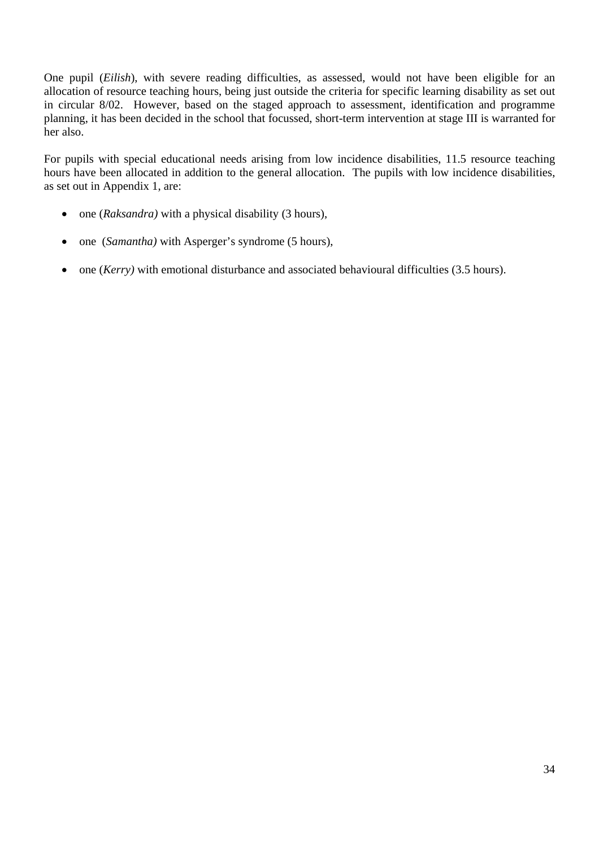One pupil (*Eilish*), with severe reading difficulties, as assessed, would not have been eligible for an allocation of resource teaching hours, being just outside the criteria for specific learning disability as set out in circular 8/02. However, based on the staged approach to assessment, identification and programme planning, it has been decided in the school that focussed, short-term intervention at stage III is warranted for her also.

For pupils with special educational needs arising from low incidence disabilities, 11.5 resource teaching hours have been allocated in addition to the general allocation. The pupils with low incidence disabilities, as set out in Appendix 1, are:

- one (*Raksandra)* with a physical disability (3 hours),
- one (*Samantha)* with Asperger's syndrome (5 hours),
- one *(Kerry)* with emotional disturbance and associated behavioural difficulties (3.5 hours).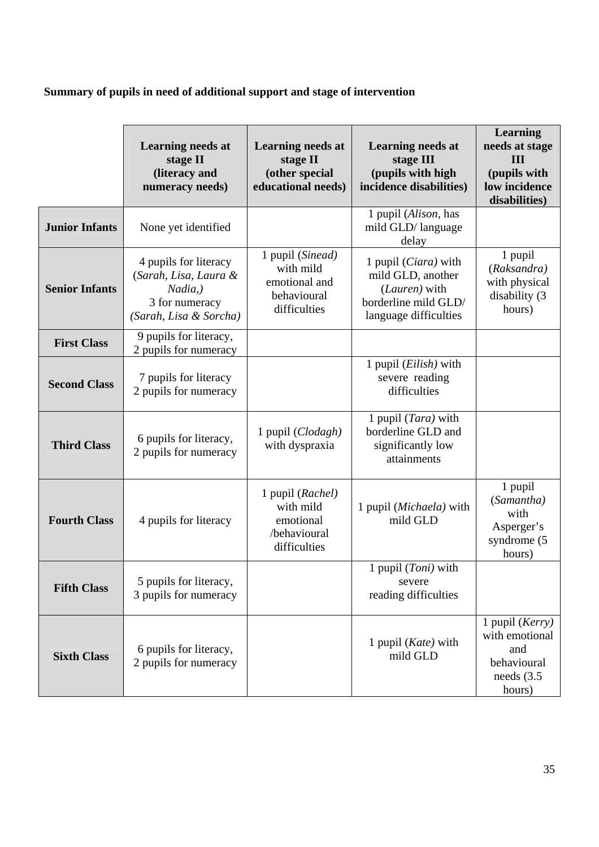# **Summary of pupils in need of additional support and stage of intervention**

|                       | Learning needs at<br>stage II<br>(literacy and<br>numeracy needs)                                     | Learning needs at<br>stage II<br>(other special<br>educational needs)         | <b>Learning needs at</b><br>stage III<br>(pupils with high<br>incidence disabilities)                       | <b>Learning</b><br>needs at stage<br><b>III</b><br>(pupils with<br>low incidence<br>disabilities) |
|-----------------------|-------------------------------------------------------------------------------------------------------|-------------------------------------------------------------------------------|-------------------------------------------------------------------------------------------------------------|---------------------------------------------------------------------------------------------------|
| <b>Junior Infants</b> | None yet identified                                                                                   |                                                                               | 1 pupil (Alison, has<br>mild GLD/ language<br>delay                                                         |                                                                                                   |
| <b>Senior Infants</b> | 4 pupils for literacy<br>(Sarah, Lisa, Laura &<br>Nadia,)<br>3 for numeracy<br>(Sarah, Lisa & Sorcha) | 1 pupil (Sinead)<br>with mild<br>emotional and<br>behavioural<br>difficulties | 1 pupil (Ciara) with<br>mild GLD, another<br>(Lauren) with<br>borderline mild GLD/<br>language difficulties | 1 pupil<br>(Raksandra)<br>with physical<br>disability (3<br>hours)                                |
| <b>First Class</b>    | 9 pupils for literacy,<br>2 pupils for numeracy                                                       |                                                                               |                                                                                                             |                                                                                                   |
| <b>Second Class</b>   | 7 pupils for literacy<br>2 pupils for numeracy                                                        |                                                                               | 1 pupil (Eilish) with<br>severe reading<br>difficulties                                                     |                                                                                                   |
| <b>Third Class</b>    | 6 pupils for literacy,<br>2 pupils for numeracy                                                       | 1 pupil (Clodagh)<br>with dyspraxia                                           | 1 pupil (Tara) with<br>borderline GLD and<br>significantly low<br>attainments                               |                                                                                                   |
| <b>Fourth Class</b>   | 4 pupils for literacy                                                                                 | 1 pupil (Rachel)<br>with mild<br>emotional<br>/behavioural<br>difficulties    | 1 pupil (Michaela) with<br>mild GLD                                                                         | 1 pupil<br>(Samantha)<br>with<br>Asperger's<br>syndrome (5<br>hours)                              |
| <b>Fifth Class</b>    | 5 pupils for literacy,<br>3 pupils for numeracy                                                       |                                                                               | 1 pupil (Toni) with<br>severe<br>reading difficulties                                                       |                                                                                                   |
| <b>Sixth Class</b>    | 6 pupils for literacy,<br>2 pupils for numeracy                                                       |                                                                               | 1 pupil ( <i>Kate</i> ) with<br>mild GLD                                                                    | 1 pupil $(Kerry)$<br>with emotional<br>and<br>behavioural<br>needs $(3.5)$<br>hours)              |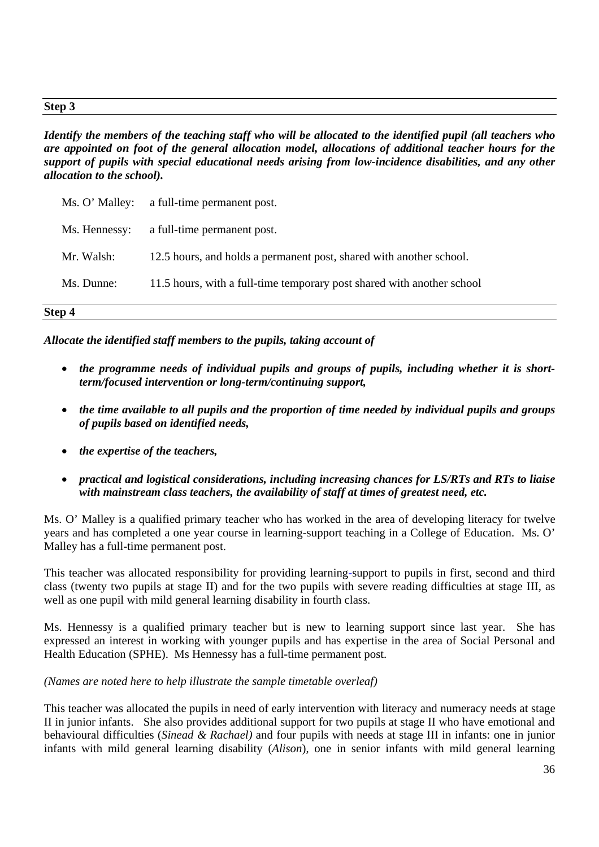#### **Step 3**

*Identify the members of the teaching staff who will be allocated to the identified pupil (all teachers who are appointed on foot of the general allocation model, allocations of additional teacher hours for the support of pupils with special educational needs arising from low-incidence disabilities, and any other allocation to the school).* 

|               | Ms. O' Malley: a full-time permanent post.                             |
|---------------|------------------------------------------------------------------------|
| Ms. Hennessy: | a full-time permanent post.                                            |
| Mr. Walsh:    | 12.5 hours, and holds a permanent post, shared with another school.    |
| Ms. Dunne:    | 11.5 hours, with a full-time temporary post shared with another school |

#### **Step 4**

*Allocate the identified staff members to the pupils, taking account of* 

- *the programme needs of individual pupils and groups of pupils, including whether it is shortterm/focused intervention or long-term/continuing support,*
- *the time available to all pupils and the proportion of time needed by individual pupils and groups of pupils based on identified needs,*
- *the expertise of the teachers,*
- *practical and logistical considerations, including increasing chances for LS/RTs and RTs to liaise with mainstream class teachers, the availability of staff at times of greatest need, etc.*

Ms. O' Malley is a qualified primary teacher who has worked in the area of developing literacy for twelve years and has completed a one year course in learning-support teaching in a College of Education. Ms. O' Malley has a full-time permanent post.

This teacher was allocated responsibility for providing learning-support to pupils in first, second and third class (twenty two pupils at stage II) and for the two pupils with severe reading difficulties at stage III, as well as one pupil with mild general learning disability in fourth class.

Ms. Hennessy is a qualified primary teacher but is new to learning support since last year. She has expressed an interest in working with younger pupils and has expertise in the area of Social Personal and Health Education (SPHE). Ms Hennessy has a full-time permanent post.

#### *(Names are noted here to help illustrate the sample timetable overleaf)*

This teacher was allocated the pupils in need of early intervention with literacy and numeracy needs at stage II in junior infants. She also provides additional support for two pupils at stage II who have emotional and behavioural difficulties (*Sinead & Rachael)* and four pupils with needs at stage III in infants: one in junior infants with mild general learning disability (*Alison*), one in senior infants with mild general learning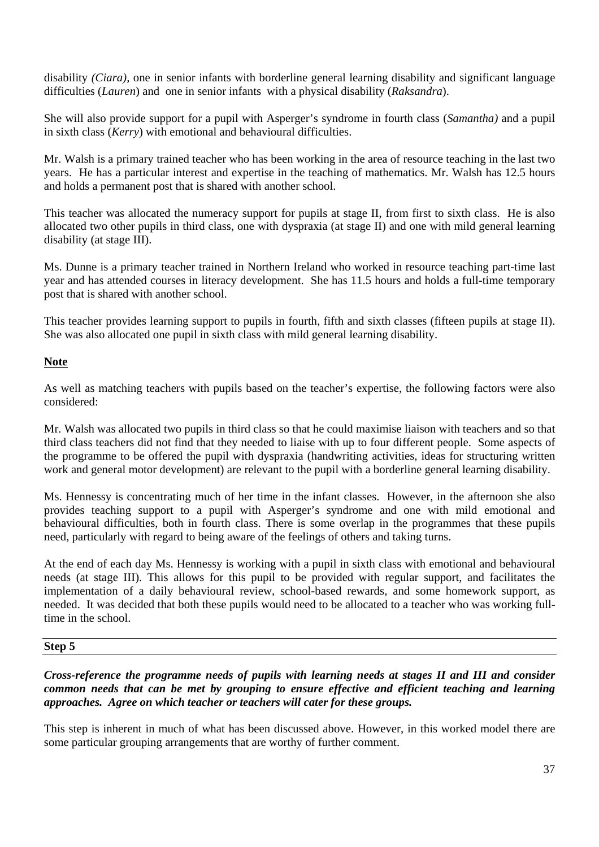disability *(Ciara),* one in senior infants with borderline general learning disability and significant language difficulties (*Lauren*) and one in senior infants with a physical disability (*Raksandra*).

She will also provide support for a pupil with Asperger's syndrome in fourth class (*Samantha)* and a pupil in sixth class (*Kerry*) with emotional and behavioural difficulties.

Mr. Walsh is a primary trained teacher who has been working in the area of resource teaching in the last two years. He has a particular interest and expertise in the teaching of mathematics. Mr. Walsh has 12.5 hours and holds a permanent post that is shared with another school.

This teacher was allocated the numeracy support for pupils at stage II, from first to sixth class. He is also allocated two other pupils in third class, one with dyspraxia (at stage II) and one with mild general learning disability (at stage III).

Ms. Dunne is a primary teacher trained in Northern Ireland who worked in resource teaching part-time last year and has attended courses in literacy development. She has 11.5 hours and holds a full-time temporary post that is shared with another school.

This teacher provides learning support to pupils in fourth, fifth and sixth classes (fifteen pupils at stage II). She was also allocated one pupil in sixth class with mild general learning disability.

## **Note**

As well as matching teachers with pupils based on the teacher's expertise, the following factors were also considered:

Mr. Walsh was allocated two pupils in third class so that he could maximise liaison with teachers and so that third class teachers did not find that they needed to liaise with up to four different people. Some aspects of the programme to be offered the pupil with dyspraxia (handwriting activities, ideas for structuring written work and general motor development) are relevant to the pupil with a borderline general learning disability.

Ms. Hennessy is concentrating much of her time in the infant classes. However, in the afternoon she also provides teaching support to a pupil with Asperger's syndrome and one with mild emotional and behavioural difficulties, both in fourth class. There is some overlap in the programmes that these pupils need, particularly with regard to being aware of the feelings of others and taking turns.

At the end of each day Ms. Hennessy is working with a pupil in sixth class with emotional and behavioural needs (at stage III). This allows for this pupil to be provided with regular support, and facilitates the implementation of a daily behavioural review, school-based rewards, and some homework support, as needed. It was decided that both these pupils would need to be allocated to a teacher who was working fulltime in the school.

#### **Step 5**

*Cross-reference the programme needs of pupils with learning needs at stages II and III and consider common needs that can be met by grouping to ensure effective and efficient teaching and learning approaches. Agree on which teacher or teachers will cater for these groups.* 

This step is inherent in much of what has been discussed above. However, in this worked model there are some particular grouping arrangements that are worthy of further comment.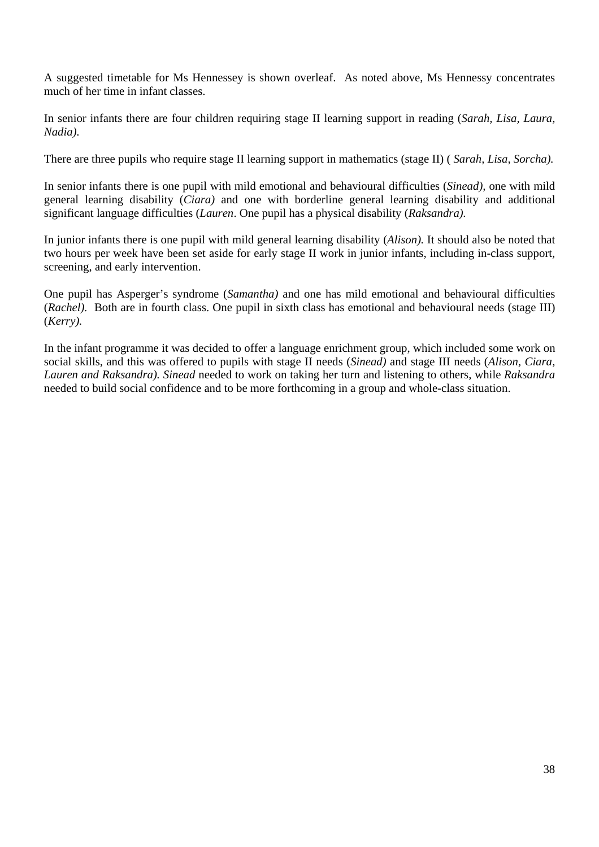A suggested timetable for Ms Hennessey is shown overleaf. As noted above, Ms Hennessy concentrates much of her time in infant classes.

In senior infants there are four children requiring stage II learning support in reading (*Sarah, Lisa, Laura, Nadia).* 

There are three pupils who require stage II learning support in mathematics (stage II) ( *Sarah, Lisa, Sorcha).* 

In senior infants there is one pupil with mild emotional and behavioural difficulties (*Sinead),* one with mild general learning disability (*Ciara)* and one with borderline general learning disability and additional significant language difficulties (*Lauren*. One pupil has a physical disability (*Raksandra).*

In junior infants there is one pupil with mild general learning disability (*Alison).* It should also be noted that two hours per week have been set aside for early stage II work in junior infants, including in-class support, screening, and early intervention.

One pupil has Asperger's syndrome (*Samantha)* and one has mild emotional and behavioural difficulties (*Rachel).* Both are in fourth class. One pupil in sixth class has emotional and behavioural needs (stage III) (*Kerry).* 

In the infant programme it was decided to offer a language enrichment group, which included some work on social skills, and this was offered to pupils with stage II needs (*Sinead)* and stage III needs (*Alison, Ciara, Lauren and Raksandra). Sinead* needed to work on taking her turn and listening to others, while *Raksandra*  needed to build social confidence and to be more forthcoming in a group and whole-class situation.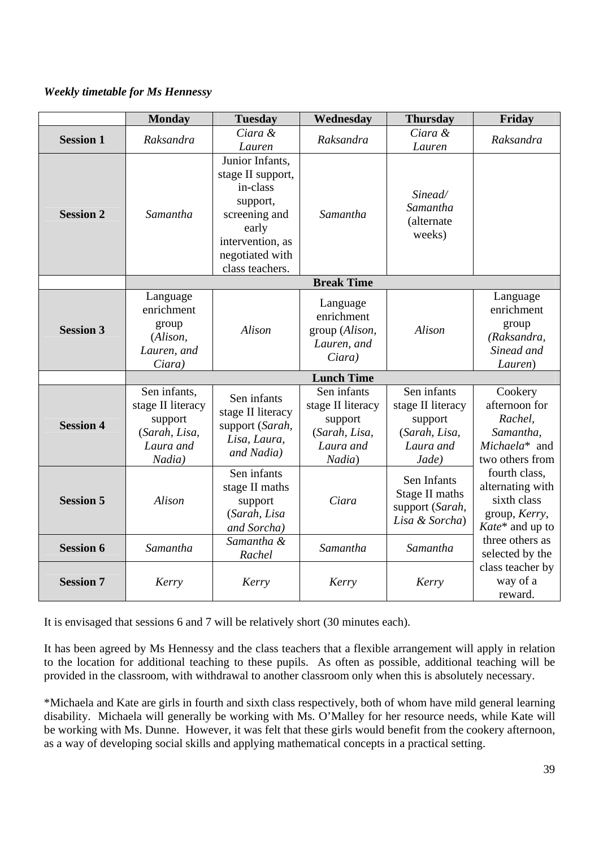### *Weekly timetable for Ms Hennessy*

|                  | <b>Monday</b>                                                                        | <b>Tuesday</b>                                                                                                                                   | Wednesday                                                                           | <b>Thursday</b>                                                                    | Friday                                                                               |
|------------------|--------------------------------------------------------------------------------------|--------------------------------------------------------------------------------------------------------------------------------------------------|-------------------------------------------------------------------------------------|------------------------------------------------------------------------------------|--------------------------------------------------------------------------------------|
| <b>Session 1</b> | Raksandra                                                                            | Ciara &<br>Lauren                                                                                                                                | Raksandra                                                                           | Ciara &<br>Lauren                                                                  | Raksandra                                                                            |
| <b>Session 2</b> | Samantha                                                                             | Junior Infants,<br>stage II support,<br>in-class<br>support,<br>screening and<br>early<br>intervention, as<br>negotiated with<br>class teachers. | Samantha                                                                            | Sinead/<br>Samantha<br>(alternate<br>weeks)                                        |                                                                                      |
|                  |                                                                                      |                                                                                                                                                  | <b>Break Time</b>                                                                   |                                                                                    |                                                                                      |
| <b>Session 3</b> | Language<br>enrichment<br>group<br>(Alison,<br>Lauren, and<br>Ciara)                 | Alison                                                                                                                                           | Language<br>enrichment<br>group (Alison,<br>Lauren, and<br>Ciara)                   | Alison                                                                             | Language<br>enrichment<br>group<br>(Raksandra,<br>Sinead and<br>Lauren)              |
|                  |                                                                                      |                                                                                                                                                  | <b>Lunch Time</b>                                                                   |                                                                                    |                                                                                      |
| <b>Session 4</b> | Sen infants,<br>stage II literacy<br>support<br>(Sarah, Lisa,<br>Laura and<br>Nadia) | Sen infants<br>stage II literacy<br>support (Sarah,<br>Lisa, Laura,<br>and Nadia)                                                                | Sen infants<br>stage II literacy<br>support<br>(Sarah, Lisa,<br>Laura and<br>Nadia) | Sen infants<br>stage II literacy<br>support<br>(Sarah, Lisa,<br>Laura and<br>Jade) | Cookery<br>afternoon for<br>Rachel,<br>Samantha,<br>Michaela* and<br>two others from |
| <b>Session 5</b> | Alison                                                                               | Sen infants<br>stage II maths<br>support<br>(Sarah, Lisa<br>and Sorcha)                                                                          | Ciara                                                                               | Sen Infants<br>Stage II maths<br>support (Sarah,<br>Lisa & Sorcha)                 | fourth class,<br>alternating with<br>sixth class<br>group, Kerry,<br>Kate* and up to |
| <b>Session 6</b> | Samantha                                                                             | Samantha &<br>Rachel                                                                                                                             | Samantha                                                                            | Samantha                                                                           | three others as<br>selected by the                                                   |
| <b>Session 7</b> | Kerry                                                                                | Kerry                                                                                                                                            | Kerry                                                                               | Kerry                                                                              | class teacher by<br>way of a<br>reward.                                              |

It is envisaged that sessions 6 and 7 will be relatively short (30 minutes each).

It has been agreed by Ms Hennessy and the class teachers that a flexible arrangement will apply in relation to the location for additional teaching to these pupils. As often as possible, additional teaching will be provided in the classroom, with withdrawal to another classroom only when this is absolutely necessary.

\*Michaela and Kate are girls in fourth and sixth class respectively, both of whom have mild general learning disability. Michaela will generally be working with Ms. O'Malley for her resource needs, while Kate will be working with Ms. Dunne. However, it was felt that these girls would benefit from the cookery afternoon, as a way of developing social skills and applying mathematical concepts in a practical setting.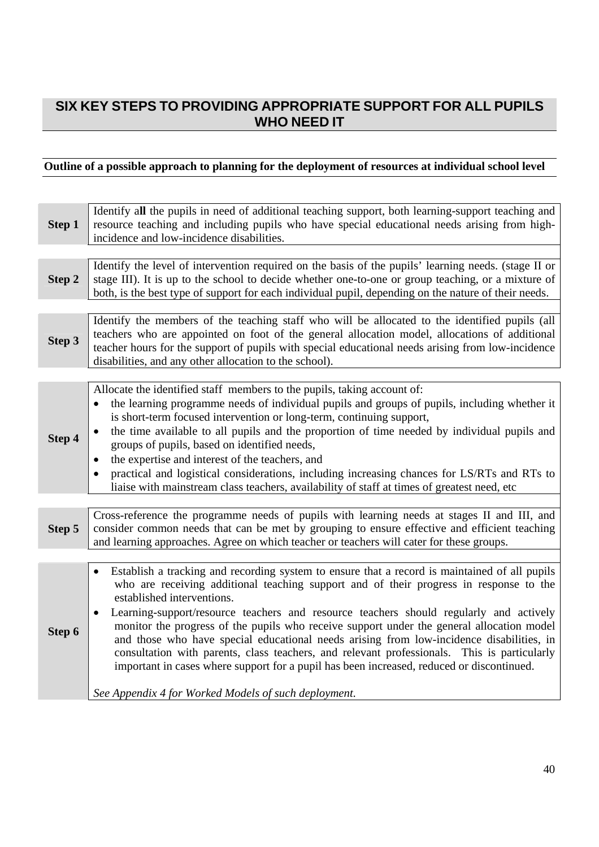# **SIX KEY STEPS TO PROVIDING APPROPRIATE SUPPORT FOR ALL PUPILS WHO NEED IT**

# **Outline of a possible approach to planning for the deployment of resources at individual school level**

| Step 1 | Identify all the pupils in need of additional teaching support, both learning-support teaching and<br>resource teaching and including pupils who have special educational needs arising from high-<br>incidence and low-incidence disabilities.                                                                                                                                                                                                                                                                                                                                                                                                                                                                                                                           |
|--------|---------------------------------------------------------------------------------------------------------------------------------------------------------------------------------------------------------------------------------------------------------------------------------------------------------------------------------------------------------------------------------------------------------------------------------------------------------------------------------------------------------------------------------------------------------------------------------------------------------------------------------------------------------------------------------------------------------------------------------------------------------------------------|
|        |                                                                                                                                                                                                                                                                                                                                                                                                                                                                                                                                                                                                                                                                                                                                                                           |
| Step 2 | Identify the level of intervention required on the basis of the pupils' learning needs. (stage II or<br>stage III). It is up to the school to decide whether one-to-one or group teaching, or a mixture of<br>both, is the best type of support for each individual pupil, depending on the nature of their needs.                                                                                                                                                                                                                                                                                                                                                                                                                                                        |
|        |                                                                                                                                                                                                                                                                                                                                                                                                                                                                                                                                                                                                                                                                                                                                                                           |
| Step 3 | Identify the members of the teaching staff who will be allocated to the identified pupils (all<br>teachers who are appointed on foot of the general allocation model, allocations of additional<br>teacher hours for the support of pupils with special educational needs arising from low-incidence<br>disabilities, and any other allocation to the school).                                                                                                                                                                                                                                                                                                                                                                                                            |
|        |                                                                                                                                                                                                                                                                                                                                                                                                                                                                                                                                                                                                                                                                                                                                                                           |
| Step 4 | Allocate the identified staff members to the pupils, taking account of:<br>the learning programme needs of individual pupils and groups of pupils, including whether it<br>is short-term focused intervention or long-term, continuing support,<br>the time available to all pupils and the proportion of time needed by individual pupils and<br>$\bullet$<br>groups of pupils, based on identified needs,<br>the expertise and interest of the teachers, and<br>$\bullet$<br>practical and logistical considerations, including increasing chances for LS/RTs and RTs to<br>liaise with mainstream class teachers, availability of staff at times of greatest need, etc                                                                                                 |
|        |                                                                                                                                                                                                                                                                                                                                                                                                                                                                                                                                                                                                                                                                                                                                                                           |
| Step 5 | Cross-reference the programme needs of pupils with learning needs at stages II and III, and<br>consider common needs that can be met by grouping to ensure effective and efficient teaching<br>and learning approaches. Agree on which teacher or teachers will cater for these groups.                                                                                                                                                                                                                                                                                                                                                                                                                                                                                   |
| Step 6 | Establish a tracking and recording system to ensure that a record is maintained of all pupils<br>$\bullet$<br>who are receiving additional teaching support and of their progress in response to the<br>established interventions.<br>Learning-support/resource teachers and resource teachers should regularly and actively<br>monitor the progress of the pupils who receive support under the general allocation model<br>and those who have special educational needs arising from low-incidence disabilities, in<br>consultation with parents, class teachers, and relevant professionals. This is particularly<br>important in cases where support for a pupil has been increased, reduced or discontinued.<br>See Appendix 4 for Worked Models of such deployment. |